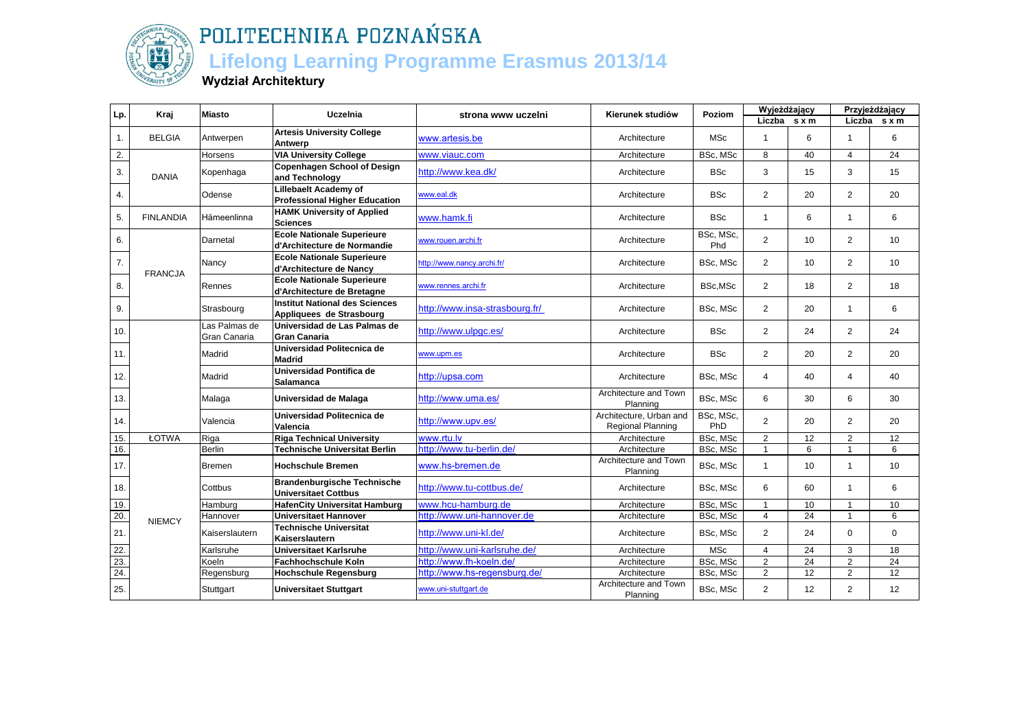

### **Lifelong Learning Programme Erasmus 2013/14**

**Wydział Architektury**

| Lp.              | Kraj             | <b>Miasto</b>                 | Uczelnia                                                          | strona www uczelni             | Kierunek studiów                             | Poziom           | Wyjeżdżający<br>Liczba s x m |                 |                | Przyjeżdżający<br>Liczba s x m |
|------------------|------------------|-------------------------------|-------------------------------------------------------------------|--------------------------------|----------------------------------------------|------------------|------------------------------|-----------------|----------------|--------------------------------|
| 1.               | <b>BELGIA</b>    | Antwerpen                     | <b>Artesis University College</b><br>Antwerp                      | www.artesis.be                 | Architecture                                 | <b>MSc</b>       | 1                            | 6               | $\overline{1}$ | 6                              |
| 2.               |                  | Horsens                       | <b>VIA University College</b>                                     | www.viauc.com                  | Architecture                                 | BSc, MSc         | 8                            | 40              | $\overline{4}$ | 24                             |
| 3.               | <b>DANIA</b>     | Kopenhaga                     | <b>Copenhagen School of Design</b><br>and Technology              | http://www.kea.dk/             | Architecture                                 | <b>BSc</b>       | 3                            | 15              | 3              | 15                             |
| $\overline{4}$ . |                  | Odense                        | Lillebaelt Academy of<br><b>Professional Higher Education</b>     | www.eal.dk                     | Architecture                                 | <b>BSc</b>       | $\overline{2}$               | 20              | $\overline{2}$ | 20                             |
| 5.               | <b>FINLANDIA</b> | Hämeenlinna                   | <b>HAMK University of Applied</b><br><b>Sciences</b>              | www.hamk.fi                    | Architecture                                 | <b>BSc</b>       | $\mathbf{1}$                 | 6               | $\mathbf{1}$   | 6                              |
| 6.               |                  | Darnetal                      | <b>Ecole Nationale Superieure</b><br>d'Architecture de Normandie  | www.rouen.archi.fr             | Architecture                                 | BSc, MSc,<br>Phd | $\overline{2}$               | 10              | $\overline{2}$ | 10                             |
| 7.               | <b>FRANCJA</b>   | Nancy                         | <b>Ecole Nationale Superieure</b><br>d'Architecture de Nancy      | http://www.nancy.archi.fr/     | Architecture                                 | BSc, MSc         | $\overline{2}$               | 10              | $\overline{2}$ | 10                             |
| 8.               |                  | Rennes                        | <b>Ecole Nationale Superieure</b><br>d'Architecture de Bretagne   | www.rennes.archi.fr            | Architecture                                 | BSc,MSc          | $\overline{2}$               | 18              | $\overline{2}$ | 18                             |
| 9.               |                  | Strasbourg                    | <b>Institut National des Sciences</b><br>Appliquees de Strasbourg | http://www.insa-strasbourg.fr/ | Architecture                                 | BSc, MSc         | $\overline{2}$               | 20              | $\mathbf{1}$   | 6                              |
| 10.              |                  | Las Palmas de<br>Gran Canaria | Universidad de Las Palmas de<br><b>Gran Canaria</b>               | http://www.ulpgc.es/           | Architecture                                 | <b>BSc</b>       | $\overline{2}$               | 24              | $\overline{2}$ | 24                             |
| 11.              |                  | Madrid                        | Universidad Politecnica de<br><b>Madrid</b>                       | www.upm.es                     | Architecture                                 | <b>BSc</b>       | $\overline{2}$               | 20              | $\overline{2}$ | 20                             |
| 12.              |                  | Madrid                        | Universidad Pontifica de<br>Salamanca                             | http://upsa.com                | Architecture                                 | BSc, MSc         | $\overline{4}$               | 40              | $\overline{4}$ | 40                             |
| 13.              |                  | Malaga                        | Universidad de Malaga                                             | http://www.uma.es/             | Architecture and Town<br>Planning            | BSc, MSc         | 6                            | 30              | 6              | 30                             |
| 14.              |                  | Valencia                      | Universidad Politecnica de<br>Valencia                            | http://www.upv.es/             | Architecture, Urban and<br>Regional Planning | BSc, MSc,<br>PhD | $\overline{2}$               | 20              | 2              | 20                             |
| 15.              | ŁOTWA            | Riga                          | <b>Riga Technical University</b>                                  | www.rtu.lv                     | Architecture                                 | BSc, MSc         | $\overline{2}$               | 12              | $\overline{2}$ | 12                             |
| 16.              |                  | <b>Berlin</b>                 | Technische Universitat Berlin                                     | http://www.tu-berlin.de/       | Architecture                                 | BSc, MSc         | $\mathbf{1}$                 | 6               | $\mathbf{1}$   | 6                              |
| 17.              |                  | <b>Bremen</b>                 | <b>Hochschule Bremen</b>                                          | www.hs-bremen.de               | Architecture and Town<br>Planning            | BSc, MSc         | 1                            | 10              | $\mathbf{1}$   | 10                             |
| 18.              |                  | Cottbus                       | <b>Brandenburgische Technische</b><br><b>Universitaet Cottbus</b> | http://www.tu-cottbus.de/      | Architecture                                 | BSc, MSc         | 6                            | 60              | $\mathbf{1}$   | 6                              |
| 19.              |                  | Hamburg                       | <b>HafenCity Universitat Hamburg</b>                              | www.hcu-hamburg.de             | Architecture                                 | BSc, MSc         | $\overline{1}$               | 10              | $\overline{1}$ | 10                             |
| 20.              | <b>NIEMCY</b>    | Hannover                      | <b>Universitaet Hannover</b>                                      | http://www.uni-hannover.de     | Architecture                                 | BSc, MSc         | $\overline{4}$               | $\overline{24}$ | $\mathbf{1}$   | 6                              |
| 21.              |                  | Kaiserslautern                | <b>Technische Universitat</b><br>Kaiserslautern                   | http://www.uni-kl.de/          | Architecture                                 | BSc, MSc         | $\overline{2}$               | 24              | $\mathbf 0$    | $\mathbf 0$                    |
| 22.              |                  | Karlsruhe                     | <b>Universitaet Karlsruhe</b>                                     | http://www.uni-karlsruhe.de/   | Architecture                                 | <b>MSc</b>       | $\overline{4}$               | 24              | 3              | 18                             |
| 23.              |                  | Koeln                         | <b>Fachhochschule Koln</b>                                        | http://www.fh-koeln.de/        | Architecture                                 | BSc, MSc         | $\overline{2}$               | 24              | $\overline{2}$ | 24                             |
| 24.              |                  | Regensburg                    | <b>Hochschule Regensburg</b>                                      | http://www.hs-regensburg.de/   | Architecture                                 | BSc, MSc         | $\overline{2}$               | $\overline{12}$ | $\overline{2}$ | $\overline{12}$                |
| 25.              |                  | Stuttgart                     | <b>Universitaet Stuttgart</b>                                     | www.uni-stuttgart.de           | Architecture and Town<br>Planning            | BSc, MSc         | $\overline{2}$               | 12              | $\overline{2}$ | 12                             |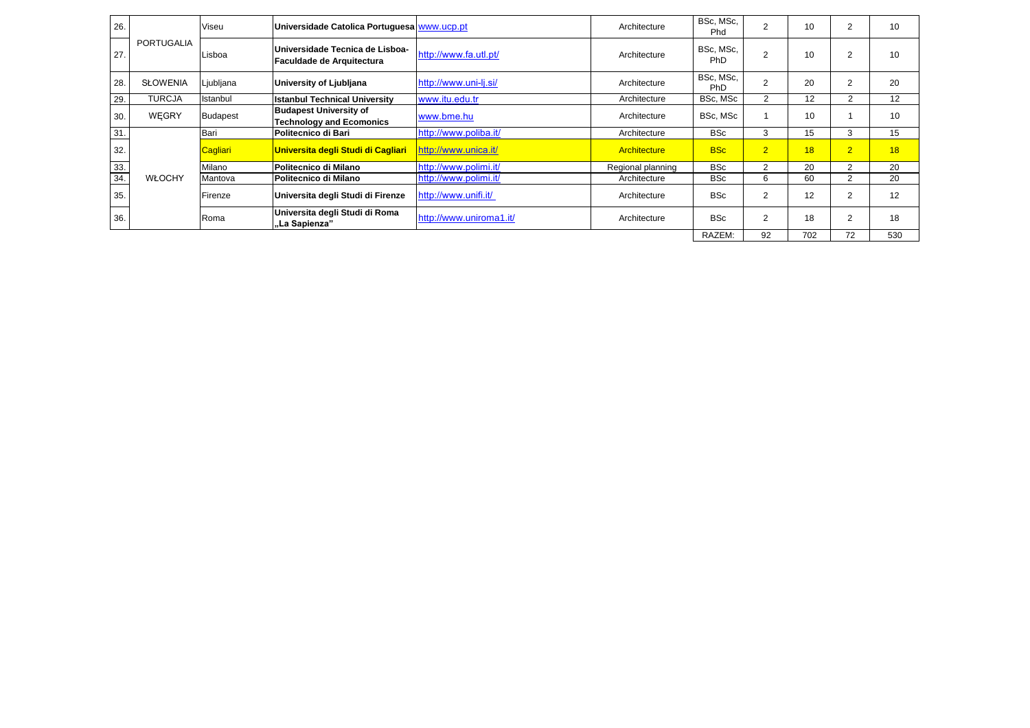| 26. |                   | Viseu           | Universidade Catolica Portuguesa www.ucp.pt                      |                         | Architecture      | BSc, MSc,<br>Phd        |                | 10  | $\overline{2}$ | 10  |
|-----|-------------------|-----------------|------------------------------------------------------------------|-------------------------|-------------------|-------------------------|----------------|-----|----------------|-----|
| 27. | <b>PORTUGALIA</b> | Lisboa          | Universidade Tecnica de Lisboa-<br>Faculdade de Arquitectura     | http://www.fa.utl.pt/   | Architecture      | BSc, MSc,<br><b>PhD</b> | 2              | 10  | $\overline{2}$ | 10  |
| 28. | <b>SŁOWENIA</b>   | Ljubljana       | University of Ljubljana                                          | http://www.uni-lj.si/   | Architecture      | BSc, MSc,<br><b>PhD</b> | 2              | 20  | 2              | 20  |
| 29. | <b>TURCJA</b>     | Istanbul        | <b>Istanbul Technical University</b>                             | www.itu.edu.tr          | Architecture      | BSc, MSc                | $\overline{2}$ | 12  | 2              | 12  |
| 30. | <b>WEGRY</b>      | <b>Budapest</b> | <b>Budapest University of</b><br><b>Technology and Ecomonics</b> | www.bme.hu              | Architecture      | BSc, MSc                |                | 10  |                | 10  |
| 31. |                   | Bari            | Politecnico di Bari                                              | http://www.poliba.it/   | Architecture      | <b>BSc</b>              | 3              | 15  | 3              | 15  |
| 32. |                   | Cagliari        | Universita degli Studi di Cagliari                               | http://www.unica.it/    | Architecture      | <b>BSc</b>              | $\overline{2}$ | 18  | $\overline{2}$ | 18  |
| 33. |                   | Milano          | Politecnico di Milano                                            | http://www.polimi.it/   | Regional planning | <b>BSc</b>              | 2              | 20  | $\overline{2}$ | 20  |
| 34. | <b>WŁOCHY</b>     | Mantova         | <b>Politecnico di Milano</b>                                     | http://www.polimi.it/   | Architecture      | <b>BSc</b>              | 6              | 60  | $\overline{2}$ | 20  |
| 35. |                   | Firenze         | Universita degli Studi di Firenze                                | http://www.unifi.it/    | Architecture      | <b>BSc</b>              | $\overline{2}$ | 12  | $\overline{2}$ | 12  |
| 36. |                   | Roma            | Universita degli Studi di Roma<br>"La Sapienza"                  | http://www.uniroma1.it/ | Architecture      | <b>BSc</b>              | 2              | 18  | $\overline{2}$ | 18  |
|     |                   |                 |                                                                  |                         |                   | RAZEM:                  | 92             | 702 | 72             | 530 |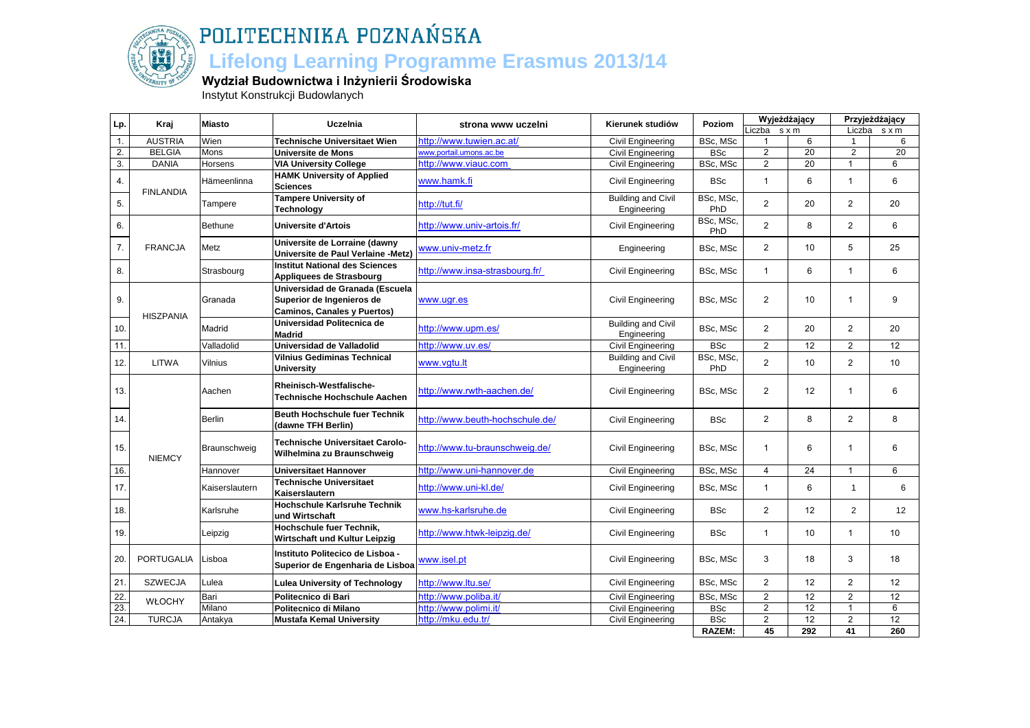

#### **Lifelong Learning Programme Erasmus 2013/14**

#### **Wydział Budownictwa i Inżynierii Środowiska**

Instytut Konstrukcji Budowlanych

| Liczba s x m<br>Liczba sxm<br><b>AUSTRIA</b><br>1.<br>Wien<br>http://www.tuwien.ac.at/<br>BSc, MSc<br>6<br>6<br>Technische Universitaet Wien<br>Civil Engineering<br>1<br>20<br>2.<br><b>BELGIA</b><br>Mons<br>www.portail.umons.ac.be<br><b>BSc</b><br>$\overline{2}$<br>$\overline{2}$<br>20<br>Universite de Mons<br>Civil Engineering<br>20<br>$\overline{3}$ .<br>$\overline{2}$<br><b>DANIA</b><br>BSc, MSc<br>6<br>Horsens<br><b>VIA University College</b><br>http://www.viauc.com<br>Civil Engineering<br><b>HAMK University of Applied</b><br>6<br>6<br>$\overline{1}$<br>$\overline{1}$<br>4.<br><b>BSc</b><br>Hämeenlinna<br>www.hamk.fi<br>Civil Engineering<br><b>Sciences</b><br><b>FINLANDIA</b><br><b>Tampere University of</b><br><b>Building and Civil</b><br>BSc, MSc,<br>$\overline{2}$<br>2<br>5.<br>20<br>http://tut.fi/<br>20<br>Tampere<br>PhD<br>Engineering<br><b>Technology</b><br>BSc, MSc,<br>$\overline{2}$<br>8<br>2<br>6.<br><b>Bethune</b><br>http://www.univ-artois.fr/<br>6<br><b>Universite d'Artois</b><br>Civil Engineering<br>PhD<br>Universite de Lorraine (dawny<br>7.<br><b>FRANCJA</b><br>Metz<br>www.univ-metz.fr<br>$\overline{2}$<br>10<br>5<br>25<br>Engineering<br>BSc, MSc<br>Universite de Paul Verlaine -Metz)<br><b>Institut National des Sciences</b><br>6<br>8.<br>Strasbourg<br>http://www.insa-strasbourg.fr/<br>6<br>Civil Engineering<br>BSc, MSc<br>$\mathbf{1}$<br>$\mathbf{1}$<br>Appliquees de Strasbourg<br>Universidad de Granada (Escuela<br>9<br>Superior de Ingenieros de<br>Civil Engineering<br>BSc, MSc<br>$\overline{2}$<br>10<br>9.<br>Granada<br>www.ugr.es<br>$\mathbf 1$<br><b>Caminos, Canales y Puertos)</b><br><b>HISZPANIA</b><br>Universidad Politecnica de<br><b>Building and Civil</b><br>$\overline{2}$<br>$\overline{2}$<br>10.<br>Madrid<br>20<br>20<br>http://www.upm.es/<br>BSc, MSc<br>Engineering<br><b>Madrid</b><br>11.<br>Valladolid<br>http://www.uv.es/<br>$\overline{2}$<br>12<br>$\mathbf{2}$<br>12<br>Universidad de Valladolid<br>Civil Engineering<br><b>BSc</b><br>BSc, MSc,<br><b>Vilnius Gediminas Technical</b><br><b>Building and Civil</b><br>$\overline{2}$<br>$\overline{2}$<br><b>LITWA</b><br>12.<br>Vilnius<br>10<br>10<br>www.vgtu.lt<br>PhD<br>Engineering<br>University<br>Rheinisch-Westfalische-<br>13.<br>http://www.rwth-aachen.de/<br>$\overline{2}$<br>12<br>6<br>Aachen<br>BSc, MSc<br>$\mathbf 1$<br>Civil Engineering<br>Technische Hochschule Aachen<br><b>Beuth Hochschule fuer Technik</b><br>http://www.beuth-hochschule.de/<br>$\overline{2}$<br>8<br>$\overline{2}$<br>8<br>Berlin<br><b>BSc</b><br>14.<br>Civil Engineering<br>(dawne TFH Berlin)<br><b>Technische Universitaet Carolo-</b><br>http://www.tu-braunschweig.de/<br>15.<br>Civil Engineering<br>BSc, MSc<br>6<br>6<br>Braunschweig<br>$\overline{1}$<br>$\mathbf 1$<br>Wilhelmina zu Braunschweig<br><b>NIEMCY</b><br>16.<br>24<br>6<br>http://www.uni-hannover.de<br>BSc, MSc<br>$\overline{4}$<br>$\overline{1}$<br>Hannover<br>Universitaet Hannover<br>Civil Engineering<br><b>Technische Universitaet</b><br>http://www.uni-kl.de/<br>17.<br>Civil Engineering<br>BSc, MSc<br>6<br>6<br>Kaiserslautern<br>$\overline{1}$<br>$\overline{1}$<br>Kaiserslautern<br><b>Hochschule Karlsruhe Technik</b><br>$\overline{2}$<br>12<br>$\overline{2}$<br>18.<br>Karlsruhe<br>www.hs-karlsruhe.de<br>12<br>Civil Engineering<br>BSc<br>und Wirtschaft<br>Hochschule fuer Technik,<br>http://www.htwk-leipzig.de/<br>19.<br><b>BSc</b><br>10<br>10<br>Civil Engineering<br>$\overline{1}$<br>$\mathbf{1}$<br>Leipzig<br>Wirtschaft und Kultur Leipzig<br>Instituto Politecico de Lisboa -<br><b>PORTUGALIA</b><br><b>Civil Engineering</b><br>BSc, MSc<br>3<br>18<br>3<br>18<br>20.<br>Lisboa<br>www.isel.pt<br>Superior de Engenharia de Lisboa<br>21.<br>$\overline{2}$<br>2<br><b>SZWECJA</b><br>http://www.ltu.se/<br>Civil Engineering<br>BSc, MSc<br>12<br>12<br>Lulea<br><b>Lulea University of Technology</b><br>22.<br>Politecnico di Bari<br>http://www.poliba.it/<br>2<br>$\overline{12}$<br>2<br>12<br>Bari<br>Civil Engineering<br>BSc, MSc<br><b>WŁOCHY</b><br>23.<br>12<br>Milano<br>$\overline{2}$<br>6<br>Politecnico di Milano<br>http://www.polimi.it/<br>Civil Engineering<br><b>BSc</b><br>$\overline{1}$<br>$\overline{24}$ .<br>$\overline{2}$<br>12<br>$\overline{2}$<br>12<br><b>TURCJA</b><br><b>BSc</b><br>http://mku.edu.tr/<br>Antakya<br><b>Mustafa Kemal University</b><br>Civil Engineering<br><b>RAZEM:</b><br>45<br>292<br>41<br>260 | Lp. | Kraj | <b>Miasto</b> | Uczelnia | strona www uczelni | Kierunek studiów | Poziom | Wyjeżdżający |  | Przyjeżdżający |
|------------------------------------------------------------------------------------------------------------------------------------------------------------------------------------------------------------------------------------------------------------------------------------------------------------------------------------------------------------------------------------------------------------------------------------------------------------------------------------------------------------------------------------------------------------------------------------------------------------------------------------------------------------------------------------------------------------------------------------------------------------------------------------------------------------------------------------------------------------------------------------------------------------------------------------------------------------------------------------------------------------------------------------------------------------------------------------------------------------------------------------------------------------------------------------------------------------------------------------------------------------------------------------------------------------------------------------------------------------------------------------------------------------------------------------------------------------------------------------------------------------------------------------------------------------------------------------------------------------------------------------------------------------------------------------------------------------------------------------------------------------------------------------------------------------------------------------------------------------------------------------------------------------------------------------------------------------------------------------------------------------------------------------------------------------------------------------------------------------------------------------------------------------------------------------------------------------------------------------------------------------------------------------------------------------------------------------------------------------------------------------------------------------------------------------------------------------------------------------------------------------------------------------------------------------------------------------------------------------------------------------------------------------------------------------------------------------------------------------------------------------------------------------------------------------------------------------------------------------------------------------------------------------------------------------------------------------------------------------------------------------------------------------------------------------------------------------------------------------------------------------------------------------------------------------------------------------------------------------------------------------------------------------------------------------------------------------------------------------------------------------------------------------------------------------------------------------------------------------------------------------------------------------------------------------------------------------------------------------------------------------------------------------------------------------------------------------------------------------------------------------------------------------------------------------------------------------------------------------------------------------------------------------------------------------------------------------------------------------------------------------------------------------------------------------------------------------------------------------------------------------------------------------------------------------------------------------------------------------------------------------------------------------------------------------------------------------------------------------------------------------------------------------------------------------------------------------------------------------------------------------------------------------------------------------------|-----|------|---------------|----------|--------------------|------------------|--------|--------------|--|----------------|
|                                                                                                                                                                                                                                                                                                                                                                                                                                                                                                                                                                                                                                                                                                                                                                                                                                                                                                                                                                                                                                                                                                                                                                                                                                                                                                                                                                                                                                                                                                                                                                                                                                                                                                                                                                                                                                                                                                                                                                                                                                                                                                                                                                                                                                                                                                                                                                                                                                                                                                                                                                                                                                                                                                                                                                                                                                                                                                                                                                                                                                                                                                                                                                                                                                                                                                                                                                                                                                                                                                                                                                                                                                                                                                                                                                                                                                                                                                                                                                                                                                                                                                                                                                                                                                                                                                                                                                                                                                                                                                                                                                  |     |      |               |          |                    |                  |        |              |  |                |
|                                                                                                                                                                                                                                                                                                                                                                                                                                                                                                                                                                                                                                                                                                                                                                                                                                                                                                                                                                                                                                                                                                                                                                                                                                                                                                                                                                                                                                                                                                                                                                                                                                                                                                                                                                                                                                                                                                                                                                                                                                                                                                                                                                                                                                                                                                                                                                                                                                                                                                                                                                                                                                                                                                                                                                                                                                                                                                                                                                                                                                                                                                                                                                                                                                                                                                                                                                                                                                                                                                                                                                                                                                                                                                                                                                                                                                                                                                                                                                                                                                                                                                                                                                                                                                                                                                                                                                                                                                                                                                                                                                  |     |      |               |          |                    |                  |        |              |  |                |
|                                                                                                                                                                                                                                                                                                                                                                                                                                                                                                                                                                                                                                                                                                                                                                                                                                                                                                                                                                                                                                                                                                                                                                                                                                                                                                                                                                                                                                                                                                                                                                                                                                                                                                                                                                                                                                                                                                                                                                                                                                                                                                                                                                                                                                                                                                                                                                                                                                                                                                                                                                                                                                                                                                                                                                                                                                                                                                                                                                                                                                                                                                                                                                                                                                                                                                                                                                                                                                                                                                                                                                                                                                                                                                                                                                                                                                                                                                                                                                                                                                                                                                                                                                                                                                                                                                                                                                                                                                                                                                                                                                  |     |      |               |          |                    |                  |        |              |  |                |
|                                                                                                                                                                                                                                                                                                                                                                                                                                                                                                                                                                                                                                                                                                                                                                                                                                                                                                                                                                                                                                                                                                                                                                                                                                                                                                                                                                                                                                                                                                                                                                                                                                                                                                                                                                                                                                                                                                                                                                                                                                                                                                                                                                                                                                                                                                                                                                                                                                                                                                                                                                                                                                                                                                                                                                                                                                                                                                                                                                                                                                                                                                                                                                                                                                                                                                                                                                                                                                                                                                                                                                                                                                                                                                                                                                                                                                                                                                                                                                                                                                                                                                                                                                                                                                                                                                                                                                                                                                                                                                                                                                  |     |      |               |          |                    |                  |        |              |  |                |
|                                                                                                                                                                                                                                                                                                                                                                                                                                                                                                                                                                                                                                                                                                                                                                                                                                                                                                                                                                                                                                                                                                                                                                                                                                                                                                                                                                                                                                                                                                                                                                                                                                                                                                                                                                                                                                                                                                                                                                                                                                                                                                                                                                                                                                                                                                                                                                                                                                                                                                                                                                                                                                                                                                                                                                                                                                                                                                                                                                                                                                                                                                                                                                                                                                                                                                                                                                                                                                                                                                                                                                                                                                                                                                                                                                                                                                                                                                                                                                                                                                                                                                                                                                                                                                                                                                                                                                                                                                                                                                                                                                  |     |      |               |          |                    |                  |        |              |  |                |
|                                                                                                                                                                                                                                                                                                                                                                                                                                                                                                                                                                                                                                                                                                                                                                                                                                                                                                                                                                                                                                                                                                                                                                                                                                                                                                                                                                                                                                                                                                                                                                                                                                                                                                                                                                                                                                                                                                                                                                                                                                                                                                                                                                                                                                                                                                                                                                                                                                                                                                                                                                                                                                                                                                                                                                                                                                                                                                                                                                                                                                                                                                                                                                                                                                                                                                                                                                                                                                                                                                                                                                                                                                                                                                                                                                                                                                                                                                                                                                                                                                                                                                                                                                                                                                                                                                                                                                                                                                                                                                                                                                  |     |      |               |          |                    |                  |        |              |  |                |
|                                                                                                                                                                                                                                                                                                                                                                                                                                                                                                                                                                                                                                                                                                                                                                                                                                                                                                                                                                                                                                                                                                                                                                                                                                                                                                                                                                                                                                                                                                                                                                                                                                                                                                                                                                                                                                                                                                                                                                                                                                                                                                                                                                                                                                                                                                                                                                                                                                                                                                                                                                                                                                                                                                                                                                                                                                                                                                                                                                                                                                                                                                                                                                                                                                                                                                                                                                                                                                                                                                                                                                                                                                                                                                                                                                                                                                                                                                                                                                                                                                                                                                                                                                                                                                                                                                                                                                                                                                                                                                                                                                  |     |      |               |          |                    |                  |        |              |  |                |
|                                                                                                                                                                                                                                                                                                                                                                                                                                                                                                                                                                                                                                                                                                                                                                                                                                                                                                                                                                                                                                                                                                                                                                                                                                                                                                                                                                                                                                                                                                                                                                                                                                                                                                                                                                                                                                                                                                                                                                                                                                                                                                                                                                                                                                                                                                                                                                                                                                                                                                                                                                                                                                                                                                                                                                                                                                                                                                                                                                                                                                                                                                                                                                                                                                                                                                                                                                                                                                                                                                                                                                                                                                                                                                                                                                                                                                                                                                                                                                                                                                                                                                                                                                                                                                                                                                                                                                                                                                                                                                                                                                  |     |      |               |          |                    |                  |        |              |  |                |
|                                                                                                                                                                                                                                                                                                                                                                                                                                                                                                                                                                                                                                                                                                                                                                                                                                                                                                                                                                                                                                                                                                                                                                                                                                                                                                                                                                                                                                                                                                                                                                                                                                                                                                                                                                                                                                                                                                                                                                                                                                                                                                                                                                                                                                                                                                                                                                                                                                                                                                                                                                                                                                                                                                                                                                                                                                                                                                                                                                                                                                                                                                                                                                                                                                                                                                                                                                                                                                                                                                                                                                                                                                                                                                                                                                                                                                                                                                                                                                                                                                                                                                                                                                                                                                                                                                                                                                                                                                                                                                                                                                  |     |      |               |          |                    |                  |        |              |  |                |
|                                                                                                                                                                                                                                                                                                                                                                                                                                                                                                                                                                                                                                                                                                                                                                                                                                                                                                                                                                                                                                                                                                                                                                                                                                                                                                                                                                                                                                                                                                                                                                                                                                                                                                                                                                                                                                                                                                                                                                                                                                                                                                                                                                                                                                                                                                                                                                                                                                                                                                                                                                                                                                                                                                                                                                                                                                                                                                                                                                                                                                                                                                                                                                                                                                                                                                                                                                                                                                                                                                                                                                                                                                                                                                                                                                                                                                                                                                                                                                                                                                                                                                                                                                                                                                                                                                                                                                                                                                                                                                                                                                  |     |      |               |          |                    |                  |        |              |  |                |
|                                                                                                                                                                                                                                                                                                                                                                                                                                                                                                                                                                                                                                                                                                                                                                                                                                                                                                                                                                                                                                                                                                                                                                                                                                                                                                                                                                                                                                                                                                                                                                                                                                                                                                                                                                                                                                                                                                                                                                                                                                                                                                                                                                                                                                                                                                                                                                                                                                                                                                                                                                                                                                                                                                                                                                                                                                                                                                                                                                                                                                                                                                                                                                                                                                                                                                                                                                                                                                                                                                                                                                                                                                                                                                                                                                                                                                                                                                                                                                                                                                                                                                                                                                                                                                                                                                                                                                                                                                                                                                                                                                  |     |      |               |          |                    |                  |        |              |  |                |
|                                                                                                                                                                                                                                                                                                                                                                                                                                                                                                                                                                                                                                                                                                                                                                                                                                                                                                                                                                                                                                                                                                                                                                                                                                                                                                                                                                                                                                                                                                                                                                                                                                                                                                                                                                                                                                                                                                                                                                                                                                                                                                                                                                                                                                                                                                                                                                                                                                                                                                                                                                                                                                                                                                                                                                                                                                                                                                                                                                                                                                                                                                                                                                                                                                                                                                                                                                                                                                                                                                                                                                                                                                                                                                                                                                                                                                                                                                                                                                                                                                                                                                                                                                                                                                                                                                                                                                                                                                                                                                                                                                  |     |      |               |          |                    |                  |        |              |  |                |
|                                                                                                                                                                                                                                                                                                                                                                                                                                                                                                                                                                                                                                                                                                                                                                                                                                                                                                                                                                                                                                                                                                                                                                                                                                                                                                                                                                                                                                                                                                                                                                                                                                                                                                                                                                                                                                                                                                                                                                                                                                                                                                                                                                                                                                                                                                                                                                                                                                                                                                                                                                                                                                                                                                                                                                                                                                                                                                                                                                                                                                                                                                                                                                                                                                                                                                                                                                                                                                                                                                                                                                                                                                                                                                                                                                                                                                                                                                                                                                                                                                                                                                                                                                                                                                                                                                                                                                                                                                                                                                                                                                  |     |      |               |          |                    |                  |        |              |  |                |
|                                                                                                                                                                                                                                                                                                                                                                                                                                                                                                                                                                                                                                                                                                                                                                                                                                                                                                                                                                                                                                                                                                                                                                                                                                                                                                                                                                                                                                                                                                                                                                                                                                                                                                                                                                                                                                                                                                                                                                                                                                                                                                                                                                                                                                                                                                                                                                                                                                                                                                                                                                                                                                                                                                                                                                                                                                                                                                                                                                                                                                                                                                                                                                                                                                                                                                                                                                                                                                                                                                                                                                                                                                                                                                                                                                                                                                                                                                                                                                                                                                                                                                                                                                                                                                                                                                                                                                                                                                                                                                                                                                  |     |      |               |          |                    |                  |        |              |  |                |
|                                                                                                                                                                                                                                                                                                                                                                                                                                                                                                                                                                                                                                                                                                                                                                                                                                                                                                                                                                                                                                                                                                                                                                                                                                                                                                                                                                                                                                                                                                                                                                                                                                                                                                                                                                                                                                                                                                                                                                                                                                                                                                                                                                                                                                                                                                                                                                                                                                                                                                                                                                                                                                                                                                                                                                                                                                                                                                                                                                                                                                                                                                                                                                                                                                                                                                                                                                                                                                                                                                                                                                                                                                                                                                                                                                                                                                                                                                                                                                                                                                                                                                                                                                                                                                                                                                                                                                                                                                                                                                                                                                  |     |      |               |          |                    |                  |        |              |  |                |
|                                                                                                                                                                                                                                                                                                                                                                                                                                                                                                                                                                                                                                                                                                                                                                                                                                                                                                                                                                                                                                                                                                                                                                                                                                                                                                                                                                                                                                                                                                                                                                                                                                                                                                                                                                                                                                                                                                                                                                                                                                                                                                                                                                                                                                                                                                                                                                                                                                                                                                                                                                                                                                                                                                                                                                                                                                                                                                                                                                                                                                                                                                                                                                                                                                                                                                                                                                                                                                                                                                                                                                                                                                                                                                                                                                                                                                                                                                                                                                                                                                                                                                                                                                                                                                                                                                                                                                                                                                                                                                                                                                  |     |      |               |          |                    |                  |        |              |  |                |
|                                                                                                                                                                                                                                                                                                                                                                                                                                                                                                                                                                                                                                                                                                                                                                                                                                                                                                                                                                                                                                                                                                                                                                                                                                                                                                                                                                                                                                                                                                                                                                                                                                                                                                                                                                                                                                                                                                                                                                                                                                                                                                                                                                                                                                                                                                                                                                                                                                                                                                                                                                                                                                                                                                                                                                                                                                                                                                                                                                                                                                                                                                                                                                                                                                                                                                                                                                                                                                                                                                                                                                                                                                                                                                                                                                                                                                                                                                                                                                                                                                                                                                                                                                                                                                                                                                                                                                                                                                                                                                                                                                  |     |      |               |          |                    |                  |        |              |  |                |
|                                                                                                                                                                                                                                                                                                                                                                                                                                                                                                                                                                                                                                                                                                                                                                                                                                                                                                                                                                                                                                                                                                                                                                                                                                                                                                                                                                                                                                                                                                                                                                                                                                                                                                                                                                                                                                                                                                                                                                                                                                                                                                                                                                                                                                                                                                                                                                                                                                                                                                                                                                                                                                                                                                                                                                                                                                                                                                                                                                                                                                                                                                                                                                                                                                                                                                                                                                                                                                                                                                                                                                                                                                                                                                                                                                                                                                                                                                                                                                                                                                                                                                                                                                                                                                                                                                                                                                                                                                                                                                                                                                  |     |      |               |          |                    |                  |        |              |  |                |
|                                                                                                                                                                                                                                                                                                                                                                                                                                                                                                                                                                                                                                                                                                                                                                                                                                                                                                                                                                                                                                                                                                                                                                                                                                                                                                                                                                                                                                                                                                                                                                                                                                                                                                                                                                                                                                                                                                                                                                                                                                                                                                                                                                                                                                                                                                                                                                                                                                                                                                                                                                                                                                                                                                                                                                                                                                                                                                                                                                                                                                                                                                                                                                                                                                                                                                                                                                                                                                                                                                                                                                                                                                                                                                                                                                                                                                                                                                                                                                                                                                                                                                                                                                                                                                                                                                                                                                                                                                                                                                                                                                  |     |      |               |          |                    |                  |        |              |  |                |
|                                                                                                                                                                                                                                                                                                                                                                                                                                                                                                                                                                                                                                                                                                                                                                                                                                                                                                                                                                                                                                                                                                                                                                                                                                                                                                                                                                                                                                                                                                                                                                                                                                                                                                                                                                                                                                                                                                                                                                                                                                                                                                                                                                                                                                                                                                                                                                                                                                                                                                                                                                                                                                                                                                                                                                                                                                                                                                                                                                                                                                                                                                                                                                                                                                                                                                                                                                                                                                                                                                                                                                                                                                                                                                                                                                                                                                                                                                                                                                                                                                                                                                                                                                                                                                                                                                                                                                                                                                                                                                                                                                  |     |      |               |          |                    |                  |        |              |  |                |
|                                                                                                                                                                                                                                                                                                                                                                                                                                                                                                                                                                                                                                                                                                                                                                                                                                                                                                                                                                                                                                                                                                                                                                                                                                                                                                                                                                                                                                                                                                                                                                                                                                                                                                                                                                                                                                                                                                                                                                                                                                                                                                                                                                                                                                                                                                                                                                                                                                                                                                                                                                                                                                                                                                                                                                                                                                                                                                                                                                                                                                                                                                                                                                                                                                                                                                                                                                                                                                                                                                                                                                                                                                                                                                                                                                                                                                                                                                                                                                                                                                                                                                                                                                                                                                                                                                                                                                                                                                                                                                                                                                  |     |      |               |          |                    |                  |        |              |  |                |
|                                                                                                                                                                                                                                                                                                                                                                                                                                                                                                                                                                                                                                                                                                                                                                                                                                                                                                                                                                                                                                                                                                                                                                                                                                                                                                                                                                                                                                                                                                                                                                                                                                                                                                                                                                                                                                                                                                                                                                                                                                                                                                                                                                                                                                                                                                                                                                                                                                                                                                                                                                                                                                                                                                                                                                                                                                                                                                                                                                                                                                                                                                                                                                                                                                                                                                                                                                                                                                                                                                                                                                                                                                                                                                                                                                                                                                                                                                                                                                                                                                                                                                                                                                                                                                                                                                                                                                                                                                                                                                                                                                  |     |      |               |          |                    |                  |        |              |  |                |
|                                                                                                                                                                                                                                                                                                                                                                                                                                                                                                                                                                                                                                                                                                                                                                                                                                                                                                                                                                                                                                                                                                                                                                                                                                                                                                                                                                                                                                                                                                                                                                                                                                                                                                                                                                                                                                                                                                                                                                                                                                                                                                                                                                                                                                                                                                                                                                                                                                                                                                                                                                                                                                                                                                                                                                                                                                                                                                                                                                                                                                                                                                                                                                                                                                                                                                                                                                                                                                                                                                                                                                                                                                                                                                                                                                                                                                                                                                                                                                                                                                                                                                                                                                                                                                                                                                                                                                                                                                                                                                                                                                  |     |      |               |          |                    |                  |        |              |  |                |
|                                                                                                                                                                                                                                                                                                                                                                                                                                                                                                                                                                                                                                                                                                                                                                                                                                                                                                                                                                                                                                                                                                                                                                                                                                                                                                                                                                                                                                                                                                                                                                                                                                                                                                                                                                                                                                                                                                                                                                                                                                                                                                                                                                                                                                                                                                                                                                                                                                                                                                                                                                                                                                                                                                                                                                                                                                                                                                                                                                                                                                                                                                                                                                                                                                                                                                                                                                                                                                                                                                                                                                                                                                                                                                                                                                                                                                                                                                                                                                                                                                                                                                                                                                                                                                                                                                                                                                                                                                                                                                                                                                  |     |      |               |          |                    |                  |        |              |  |                |
|                                                                                                                                                                                                                                                                                                                                                                                                                                                                                                                                                                                                                                                                                                                                                                                                                                                                                                                                                                                                                                                                                                                                                                                                                                                                                                                                                                                                                                                                                                                                                                                                                                                                                                                                                                                                                                                                                                                                                                                                                                                                                                                                                                                                                                                                                                                                                                                                                                                                                                                                                                                                                                                                                                                                                                                                                                                                                                                                                                                                                                                                                                                                                                                                                                                                                                                                                                                                                                                                                                                                                                                                                                                                                                                                                                                                                                                                                                                                                                                                                                                                                                                                                                                                                                                                                                                                                                                                                                                                                                                                                                  |     |      |               |          |                    |                  |        |              |  |                |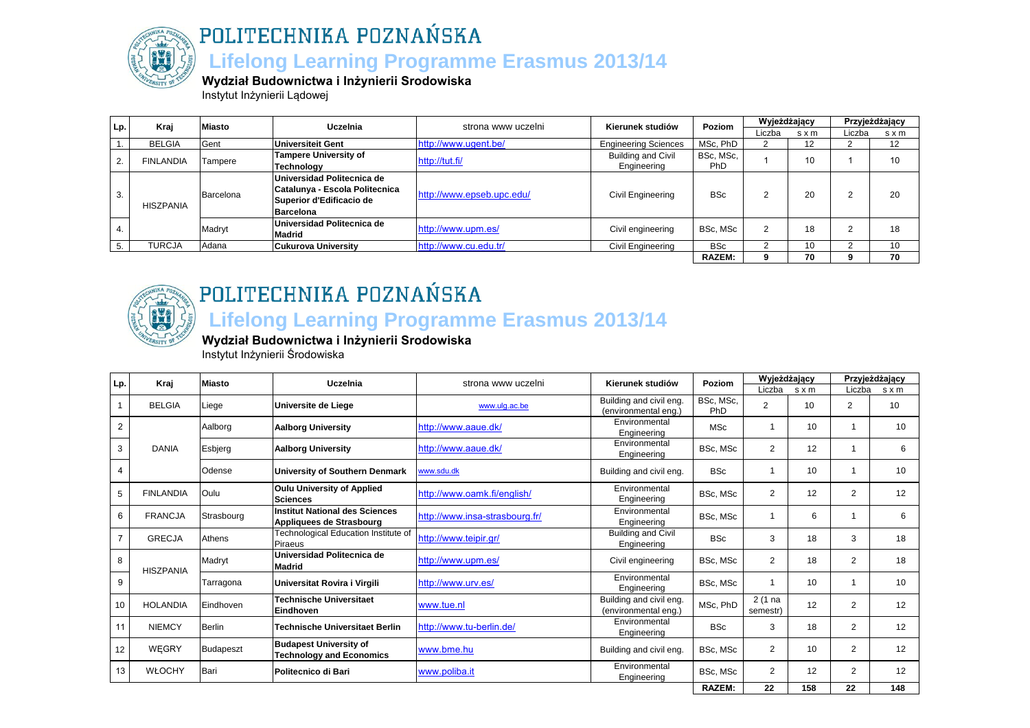

## POLITECHNIKA POZNAŃSKA  **Lifelong Learning Programme Erasmus 2013/14**

**Wydział Budownictwa i Inżynierii Srodowiska**

Instytut Inżynierii Lądowej

| Lp. | Kraj             | <b>Miasto</b> | Uczelnia                       | strona www uczelni        | Kierunek studiów            | <b>Poziom</b> | Wyjeżdżający |       |        | Przyjeżdżający |
|-----|------------------|---------------|--------------------------------|---------------------------|-----------------------------|---------------|--------------|-------|--------|----------------|
|     |                  |               |                                |                           |                             |               | Liczba       | s x m | Liczba | s x m          |
|     | <b>BELGIA</b>    | Gent          | Universiteit Gent              | http://www.ugent.be/      | <b>Engineering Sciences</b> | MSc, PhD      |              | 12    |        | 12             |
| 2.  | <b>FINLANDIA</b> |               | Tampere University of          |                           | <b>Building and Civil</b>   | BSc, MSc,     |              | 10    |        | 10             |
|     |                  | Tampere       | <b>Technology</b>              | http://tut.fi/            | Engineering                 | PhD           |              |       |        |                |
|     |                  |               | Universidad Politecnica de     |                           |                             |               |              |       |        |                |
| 3.  |                  | Barcelona     | Catalunya - Escola Politecnica | http://www.epseb.upc.edu/ | Civil Engineering           | <b>BSc</b>    |              | 20    |        | 20             |
|     | <b>HISZPANIA</b> |               | Superior d'Edificacio de       |                           |                             |               |              |       | ∠      |                |
|     |                  |               | <b>Barcelona</b>               |                           |                             |               |              |       |        |                |
|     |                  | Madryt        | Universidad Politecnica de     | http://www.upm.es/        |                             | BSc. MSc      |              | 18    |        | 18             |
| 4.  |                  |               | <b>Madrid</b>                  |                           | Civil engineering           |               |              |       |        |                |
|     | TURCJA           | Adana         | <b>Cukurova University</b>     | http://www.cu.edu.tr/     | Civil Engineering           | <b>BSc</b>    |              | 10    |        | 10             |
|     |                  |               |                                |                           |                             | <b>RAZEM:</b> |              | 70    |        | 70             |



## POLITECHNIKA POZNAŃSKA

## **Lifelong Learning Programme Erasmus 2013/14**

**Wydział Budownictwa i Inżynierii Srodowiska**

Instytut Inżynierii Środowiska

| Lp.            | Kraj             | <b>Miasto</b>    | Uczelnia                                                         | strona www uczelni             | Kierunek studiów                                | Poziom                  | Wyjeżdżający          |              |                | Przyjeżdżający |
|----------------|------------------|------------------|------------------------------------------------------------------|--------------------------------|-------------------------------------------------|-------------------------|-----------------------|--------------|----------------|----------------|
|                |                  |                  |                                                                  |                                |                                                 |                         | Liczba                | $s \times m$ | Liczba         | $s \times m$   |
| $\mathbf{1}$   | <b>BELGIA</b>    | Liege            | Universite de Liege                                              | www.ulq.ac.be                  | Building and civil eng.<br>(environmental eng.) | BSc, MSc,<br><b>PhD</b> | $\overline{2}$        | 10           | $\overline{2}$ | 10             |
| 2              |                  | Aalborg          | <b>Aalborg University</b>                                        | http://www.aaue.dk/            | Environmental<br>Engineering                    | <b>MSc</b>              |                       | 10           |                | 10             |
| 3              | <b>DANIA</b>     | Esbjerg          | <b>Aalborg University</b>                                        | http://www.aaue.dk/            | Environmental<br>Engineering                    | BSc, MSc                | 2                     | 12           |                | 6              |
| 4              |                  | Odense           | University of Southern Denmark                                   | www.sdu.dk                     | Building and civil eng.                         | <b>BSc</b>              | $\overline{1}$        | 10           |                | 10             |
| 5              | <b>FINLANDIA</b> | Oulu             | <b>Oulu University of Applied</b><br><b>Sciences</b>             | http://www.oamk.fi/english/    | Environmental<br>Engineering                    | BSc. MSc                | $\overline{2}$        | 12           | $\overline{2}$ | 12             |
| 6              | <b>FRANCJA</b>   | Strasbourg       | Institut National des Sciences<br>Appliquees de Strasbourg       | http://www.insa-strasbourg.fr/ | Environmental<br>Engineering                    | BSc. MSc                | 1                     | 6            |                | 6              |
| $\overline{7}$ | <b>GRECJA</b>    | Athens           | Technological Education Institute of<br><b>Piraeus</b>           | http://www.teipir.gr/          | Building and Civil<br>Engineering               | <b>BSc</b>              | 3                     | 18           | 3              | 18             |
| 8              | <b>HISZPANIA</b> | Madryt           | Universidad Politecnica de<br><b>Madrid</b>                      | http://www.upm.es/             | Civil engineering                               | BSc. MSc                | $\overline{2}$        | 18           | $\overline{2}$ | 18             |
| 9              |                  | Tarragona        | Universitat Rovira i Virgili                                     | http://www.urv.es/             | Environmental<br>Engineering                    | BSc, MSc                | $\mathbf{1}$          | 10           |                | 10             |
| 10             | <b>HOLANDIA</b>  | Eindhoven        | <b>Technische Universitaet</b><br>Eindhoven                      | www.tue.nl                     | Building and civil eng.<br>(environmental eng.) | MSc, PhD                | $2(1)$ na<br>semestr) | 12           | $\overline{2}$ | 12             |
| 11             | <b>NIEMCY</b>    | <b>Berlin</b>    | Technische Universitaet Berlin                                   | http://www.tu-berlin.de/       | Environmental<br>Engineering                    | <b>BSc</b>              | 3                     | 18           | 2              | 12             |
| 12             | <b>WEGRY</b>     | <b>Budapeszt</b> | <b>Budapest University of</b><br><b>Technology and Economics</b> | www.bme.hu                     | Building and civil eng.                         | BSc. MSc                | 2                     | 10           | $\overline{2}$ | 12             |
| 13             | <b>WŁOCHY</b>    | Bari             | Politecnico di Bari                                              | www.poliba.it                  | Environmental<br>Engineering                    | BSc, MSc                | 2                     | 12           | $\overline{2}$ | 12             |
|                |                  |                  |                                                                  |                                |                                                 | <b>RAZEM:</b>           | $22 \,$               | 158          | 22             | 148            |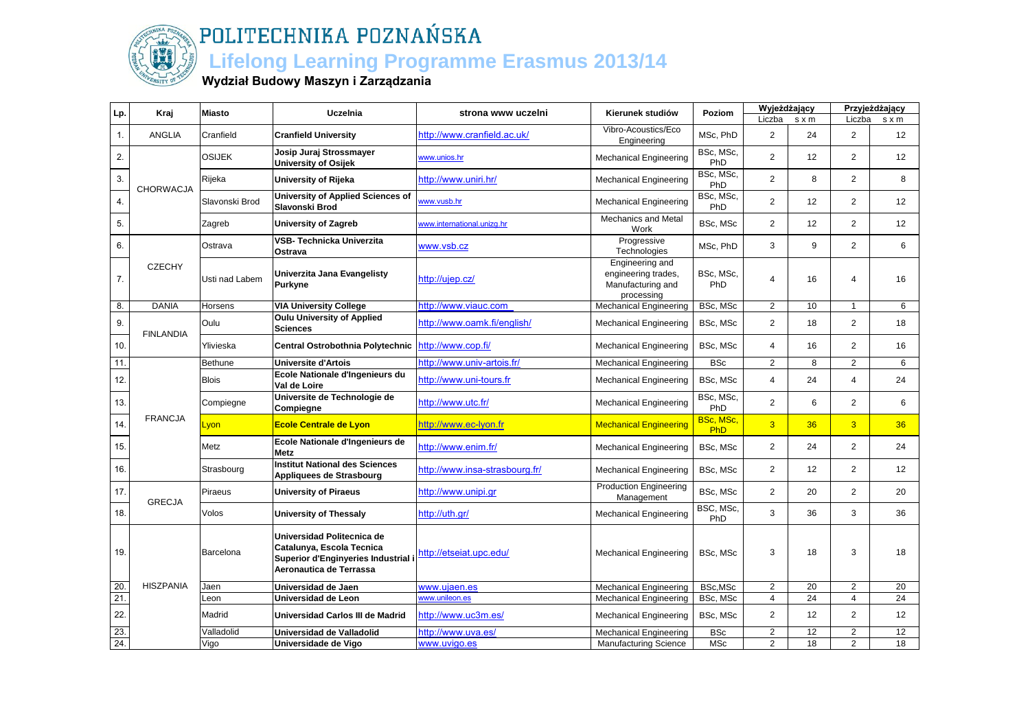

### **Lifelong Learning Programme Erasmus 2013/14**

#### **Wydział Budowy Maszyn i Zarządzania**

| Lp.            | Kraj             | <b>Miasto</b>  | Uczelnia                                                                                                                  | strona www uczelni             | Kierunek studiów                                                          | Poziom                  | Wyjeżdżający   |                |                | Przyjeżdżający  |
|----------------|------------------|----------------|---------------------------------------------------------------------------------------------------------------------------|--------------------------------|---------------------------------------------------------------------------|-------------------------|----------------|----------------|----------------|-----------------|
|                |                  |                |                                                                                                                           |                                |                                                                           |                         | Liczba         | s x m          | Liczba         | sxm             |
| $\mathbf{1}$ . | <b>ANGLIA</b>    | Cranfield      | <b>Cranfield University</b>                                                                                               | http://www.cranfield.ac.uk/    | Vibro-Acoustics/Eco<br>Engineering                                        | MSc, PhD                | $\overline{2}$ | 24             | 2              | 12              |
| 2.             |                  | <b>OSIJEK</b>  | Josip Juraj Strossmayer<br><b>University of Osijek</b>                                                                    | www.unios.hr                   | <b>Mechanical Engineering</b>                                             | BSc, MSc,<br>PhD        | $\overline{2}$ | 12             | 2              | 12              |
| 3.             | <b>CHORWACJA</b> | Rijeka         | University of Rijeka                                                                                                      | http://www.uniri.hr/           | <b>Mechanical Engineering</b>                                             | BSc, MSc,<br>PhD        | $\overline{2}$ | 8              | 2              | 8               |
| 4.             |                  | Slavonski Brod | <b>University of Applied Sciences of</b><br>Slavonski Brod                                                                | www.vusb.hr                    | <b>Mechanical Engineering</b>                                             | BSc, MSc,<br>PhD        | $\overline{2}$ | 12             | 2              | 12 <sup>2</sup> |
| 5.             |                  | Zagreb         | <b>University of Zagreb</b>                                                                                               | www.international.unizq.hr     | <b>Mechanics and Metal</b><br>Work                                        | BSc, MSc                | $\overline{2}$ | 12             | 2              | 12              |
| 6.             |                  | Ostrava        | VSB- Technicka Univerzita<br>Ostrava                                                                                      | www.vsb.cz                     | Progressive<br>Technologies                                               | MSc, PhD                | 3              | 9              | $\overline{2}$ | 6               |
| 7.             | <b>CZECHY</b>    | Usti nad Labem | Univerzita Jana Evangelisty<br>Purkyne                                                                                    | http://ujep.cz/                | Engineering and<br>engineering trades,<br>Manufacturing and<br>processing | BSc, MSc,<br>PhD        | $\overline{4}$ | 16             | $\overline{4}$ | 16              |
| 8.             | <b>DANIA</b>     | Horsens        | <b>VIA University College</b>                                                                                             | http://www.viauc.com           | <b>Mechanical Engineering</b>                                             | BSc, MSc                | $\overline{2}$ | 10             | $\overline{1}$ | 6               |
| 9.             | <b>FINLANDIA</b> | Oulu           | <b>Oulu University of Applied</b><br>Sciences                                                                             | http://www.oamk.fi/english/    | <b>Mechanical Engineering</b>                                             | BSc, MSc                | $\overline{2}$ | 18             | 2              | 18              |
| 10.            |                  | Ylivieska      | Central Ostrobothnia Polytechnic                                                                                          | http://www.cop.fi/             | <b>Mechanical Engineering</b>                                             | BSc, MSc                | $\overline{4}$ | 16             | 2              | 16              |
| 11.            |                  | <b>Bethune</b> | <b>Universite d'Artois</b>                                                                                                | http://www.univ-artois.fr/     | <b>Mechanical Engineering</b>                                             | <b>BSc</b>              | $\overline{2}$ | $\overline{8}$ | $\overline{2}$ | 6               |
| 12.            |                  | <b>Blois</b>   | Ecole Nationale d'Ingenieurs du<br>Val de Loire                                                                           | http://www.uni-tours.fr        | <b>Mechanical Engineering</b>                                             | BSc, MSc                | $\overline{4}$ | 24             | $\overline{4}$ | 24              |
| 13.            |                  | Compiegne      | Universite de Technologie de<br>Compiegne                                                                                 | http://www.utc.fr/             | <b>Mechanical Engineering</b>                                             | BSc, MSc,<br>PhD        | $\overline{2}$ | 6              | 2              | 6               |
| 14.            | <b>FRANCJA</b>   | <u>Lyon</u>    | <b>Ecole Centrale de Lyon</b>                                                                                             | http://www.ec-lyon.fr          | <b>Mechanical Engineering</b>                                             | BSc, MSc,<br><b>PhD</b> | $\overline{3}$ | 36             | $\overline{3}$ | 36              |
| 15.            |                  | Metz           | Ecole Nationale d'Ingenieurs de<br><b>Metz</b>                                                                            | http://www.enim.fr/            | <b>Mechanical Engineering</b>                                             | BSc, MSc                | $\overline{2}$ | 24             | 2              | 24              |
| 16.            |                  | Strasbourg     | <b>Institut National des Sciences</b><br>Appliquees de Strasbourg                                                         | http://www.insa-strasbourg.fr/ | <b>Mechanical Engineering</b>                                             | BSc, MSc                | $\overline{2}$ | 12             | 2              | 12              |
| 17.            | <b>GRECJA</b>    | Piraeus        | <b>University of Piraeus</b>                                                                                              | http://www.unipi.gr            | <b>Production Engineering</b><br>Management                               | BSc, MSc                | $\overline{2}$ | 20             | 2              | 20              |
| 18.            |                  | Volos          | University of Thessaly                                                                                                    | http://uth.gr/                 | <b>Mechanical Engineering</b>                                             | BSC, MSc,<br>PhD        | 3              | 36             | 3              | 36              |
| 19.            |                  | Barcelona      | Universidad Politecnica de<br>Catalunya, Escola Tecnica<br>Superior d'Enginyeries Industrial i<br>Aeronautica de Terrassa | http://etseiat.upc.edu/        | <b>Mechanical Engineering</b>                                             | BSc, MSc                | 3              | 18             | 3              | 18              |
| 20             | <b>HISZPANIA</b> | Jaen           | Universidad de Jaen                                                                                                       | www.ujaen.es                   | <b>Mechanical Engineering</b>                                             | BSc,MSc                 | $\overline{2}$ | 20             | $\overline{2}$ | 20              |
| 21.            |                  | Leon           | Universidad de Leon                                                                                                       | www.unileon.es                 | <b>Mechanical Engineering</b>                                             | BSc, MSc                | $\overline{4}$ | 24             | $\overline{4}$ | 24              |
| 22.            |                  | Madrid         | Universidad Carlos III de Madrid                                                                                          | http://www.uc3m.es/            | <b>Mechanical Engineering</b>                                             | BSc, MSc                | $\overline{2}$ | 12             | 2              | 12              |
| 23.            |                  | Valladolid     | Universidad de Valladolid                                                                                                 | http://www.uva.es/             | <b>Mechanical Engineering</b>                                             | <b>BSc</b>              | $\overline{2}$ | 12             | 2              | 12              |
| 24.            |                  | Vigo           | Universidade de Vigo                                                                                                      | www.uvigo.es                   | <b>Manufacturing Science</b>                                              | <b>MSc</b>              | $\overline{2}$ | 18             | 2              | 18              |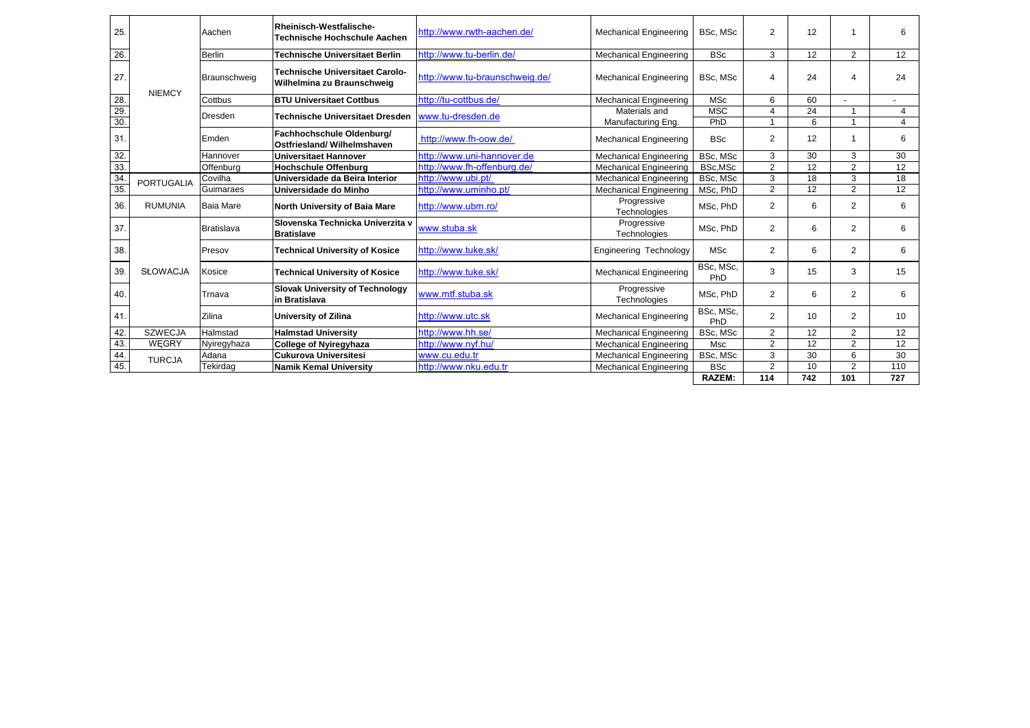| 25.             |                   | Aachen            | Rheinisch-Westfalische-<br><b>Technische Hochschule Aachen</b>       | http://www.rwth-aachen.de/     | <b>Mechanical Engineering</b> | BSc, MSc         | 2                | 12              |                | 6              |
|-----------------|-------------------|-------------------|----------------------------------------------------------------------|--------------------------------|-------------------------------|------------------|------------------|-----------------|----------------|----------------|
| 26.             |                   | <b>Berlin</b>     | <b>Technische Universitaet Berlin</b>                                | http://www.tu-berlin.de/       | <b>Mechanical Engineering</b> | <b>BSc</b>       | 3                | 12              | 2              | 12             |
| 27.             | <b>NIEMCY</b>     | Braunschweig      | <b>Technische Universitaet Carolo-</b><br>Wilhelmina zu Braunschweig | http://www.tu-braunschweig.de/ | <b>Mechanical Engineering</b> | BSc. MSc         | $\boldsymbol{4}$ | 24              | Δ              | 24             |
| $\frac{28}{29}$ |                   | Cottbus           | <b>BTU Universitaet Cottbus</b>                                      | http://tu-cottbus.de/          | <b>Mechanical Engineering</b> | <b>MSc</b>       | 6                | 60              | $\overline{a}$ |                |
|                 |                   | <b>Dresden</b>    | <b>Technische Universitaet Dresden</b>                               | www.tu-dresden.de              | Materials and                 | <b>MSC</b>       | 4                | $\overline{24}$ |                | $\overline{4}$ |
| 30.             |                   |                   |                                                                      |                                | Manufacturing Eng.            | PhD              | $\overline{ }$   | 6               |                | 4              |
| 31.             |                   | Emden             | Fachhochschule Oldenburg/<br>Ostfriesland/ Wilhelmshaven             | http://www.fh-oow.de/          | <b>Mechanical Engineering</b> | <b>BSc</b>       | $\overline{2}$   | 12              |                | 6              |
| 32.             |                   | Hannover          | Universitaet Hannover                                                | http://www.uni-hannover.de     | <b>Mechanical Engineering</b> | BSc, MSc         | 3                | 30              | 3              | 30             |
| 33.             |                   | Offenburg         | <b>Hochschule Offenburg</b>                                          | http://www.fh-offenburg.de/    | <b>Mechanical Engineering</b> | BSc,MSc          | $\overline{2}$   | 12              | $\overline{2}$ | 12             |
| $\frac{34}{35}$ | <b>PORTUGALIA</b> | Covilha           | Universidade da Beira Interior                                       | http://www.ubi.pt/             | <b>Mechanical Engineering</b> | BSc, MSc         | 3                | 18              | 3              | 18             |
|                 |                   | Guimaraes         | Universidade do Minho                                                | http://www.uminho.pt/          | <b>Mechanical Engineering</b> | MSc, PhD         | $\overline{2}$   | 12              | 2              | 12             |
| 36.             | <b>RUMUNIA</b>    | <b>Baia Mare</b>  | North University of Baia Mare                                        | http://www.ubm.ro/             | Progressive<br>Technologies   | MSc, PhD         | $\overline{2}$   | 6               | 2              | 6              |
| 37.             |                   | <b>Bratislava</b> | Slovenska Technicka Univerzita v<br><b>Bratislave</b>                | www.stuba.sk                   | Progressive<br>Technologies   | MSc. PhD         | 2                | 6               | 2              | 6              |
| 38.             |                   | Presov            | <b>Technical University of Kosice</b>                                | http://www.tuke.sk/            | Engineering Technology        | <b>MSc</b>       | 2                | 6               | 2              | 6              |
| 39.             | <b>SŁOWACJA</b>   | Kosice            | <b>Technical University of Kosice</b>                                | http://www.tuke.sk/            | <b>Mechanical Engineering</b> | BSc, MSc,<br>PhD | 3                | 15              | 3              | 15             |
| 40.             |                   | Trnava            | <b>Slovak University of Technology</b><br>in Bratislava              | www.mtf.stuba.sk               | Progressive<br>Technologies   | MSc, PhD         | 2                | 6               | 2              | 6              |
| 41              |                   | Zilina            | University of Zilina                                                 | http://www.utc.sk              | <b>Mechanical Engineering</b> | BSc, MSc,<br>PhD | $\overline{2}$   | 10              | 2              | 10             |
| 42.             | <b>SZWECJA</b>    | Halmstad          | <b>Halmstad University</b>                                           | http://www.hh.se/              | <b>Mechanical Engineering</b> | BSc. MSc         | $\overline{2}$   | 12              | 2              | 12             |
| 43.             | <b>WEGRY</b>      | Nyiregyhaza       | <b>College of Nyiregyhaza</b>                                        | http://www.nyf.hu/             | <b>Mechanical Engineering</b> | Msc              | $\overline{2}$   | 12              | $\overline{2}$ | 12             |
| 44.             | <b>TURCJA</b>     | Adana             | <b>Cukurova Universitesi</b>                                         | www.cu.edu.tr                  | <b>Mechanical Engineering</b> | BSc, MSc         | 3                | 30              | 6              | 30             |
| 45.             |                   | Tekirdag          | <b>Namik Kemal University</b>                                        | http://www.nku.edu.tr          | <b>Mechanical Engineering</b> | <b>BSc</b>       | 2                | 10              | $\overline{2}$ | 110            |
|                 |                   |                   |                                                                      |                                |                               | <b>RAZEM:</b>    | 114              | 742             | 101            | 727            |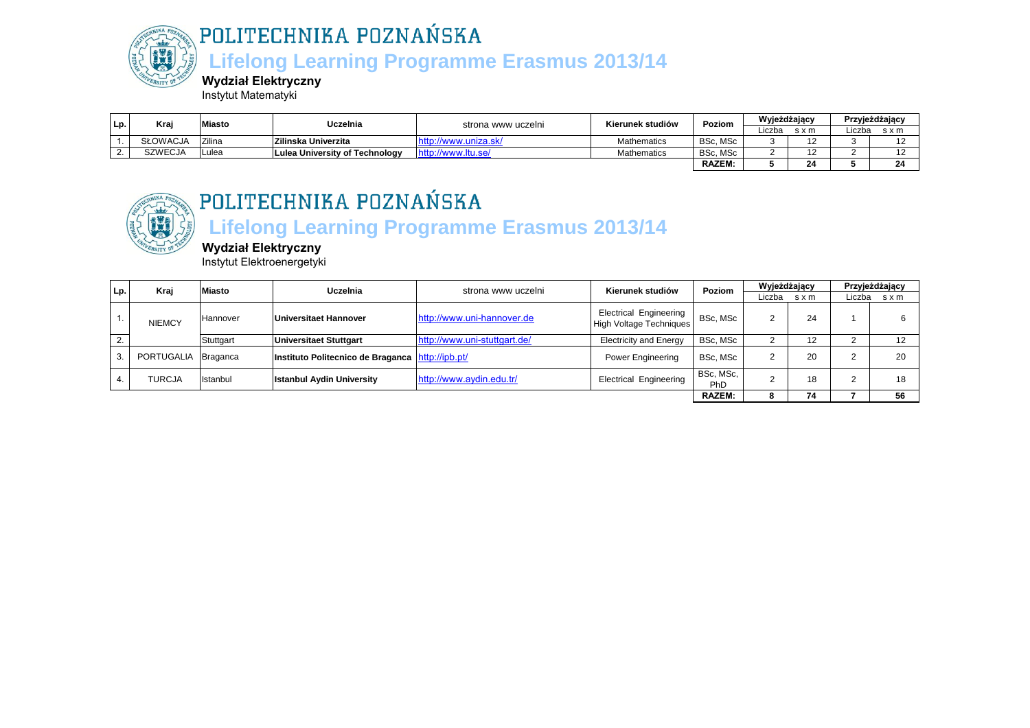

 **Lifelong Learning Programme Erasmus 2013/14**

**Wydział Elektryczny**

Instytut Matematyki

| Lp. | Krai            | <b>Miasto</b> | Uczelnia                       | strona www uczelni     | Kierunek studiów | Poziom        | Wyjeżdżający |       |        | Przyjeżdżający |
|-----|-----------------|---------------|--------------------------------|------------------------|------------------|---------------|--------------|-------|--------|----------------|
|     |                 |               |                                |                        |                  |               | Liczba       | s x m | .iczba | sxm            |
|     | <b>SŁOWACJA</b> | Zilina        | <b>Zilinska Univerzita</b>     |                        | Mathematics      | BSc, MSc      |              |       |        |                |
|     | SZWECJA         | Lulea         | Lulea University of Technology | http:<br>//www.itu.se/ | Mathematics      | BSc, MSc      |              |       |        |                |
|     |                 |               |                                |                        |                  | <b>RAZEM:</b> |              | 24    |        |                |



## POLITECHNIKA POZNAŃSKA

### **Lifelong Learning Programme Erasmus 2013/14**

**Wydział Elektryczny** Instytut Elektroenergetyki

| Lp. | Kraj                | Miasto    | Uczelnia                                           | strona www uczelni           | Kierunek studiów                                                | Poziom           | Wyjeżdżający |     |        | Przyjeżdżający |
|-----|---------------------|-----------|----------------------------------------------------|------------------------------|-----------------------------------------------------------------|------------------|--------------|-----|--------|----------------|
|     |                     |           |                                                    |                              |                                                                 |                  | Liczba       | sxm | Liczba | sxm            |
|     | <b>NIEMCY</b>       | Hannover  | Universitaet Hannover                              | http://www.uni-hannover.de   | <b>Electrical Engineering</b><br><b>High Voltage Techniques</b> | BSc, MSc         |              | 24  |        |                |
|     |                     | Stuttgart | <b>Universitaet Stuttgart</b>                      | http://www.uni-stuttgart.de/ | <b>Electricity and Energy</b>                                   | BSc, MSc         |              | 12  |        |                |
|     | PORTUGALIA Braganca |           | Instituto Politecnico de Braganca   http://ipb.pt/ |                              | Power Engineering                                               | BSc, MSc         |              | 20  |        | 20             |
|     | TURCJA              | Istanbul  | <b>Istanbul Aydin University</b>                   | http://www.aydin.edu.tr/     | <b>Electrical Engineering</b>                                   | BSc, MSc,<br>PhD |              | 18  |        | 18             |
|     |                     |           |                                                    |                              |                                                                 | <b>RAZEM:</b>    | 75           | 74  |        | 56             |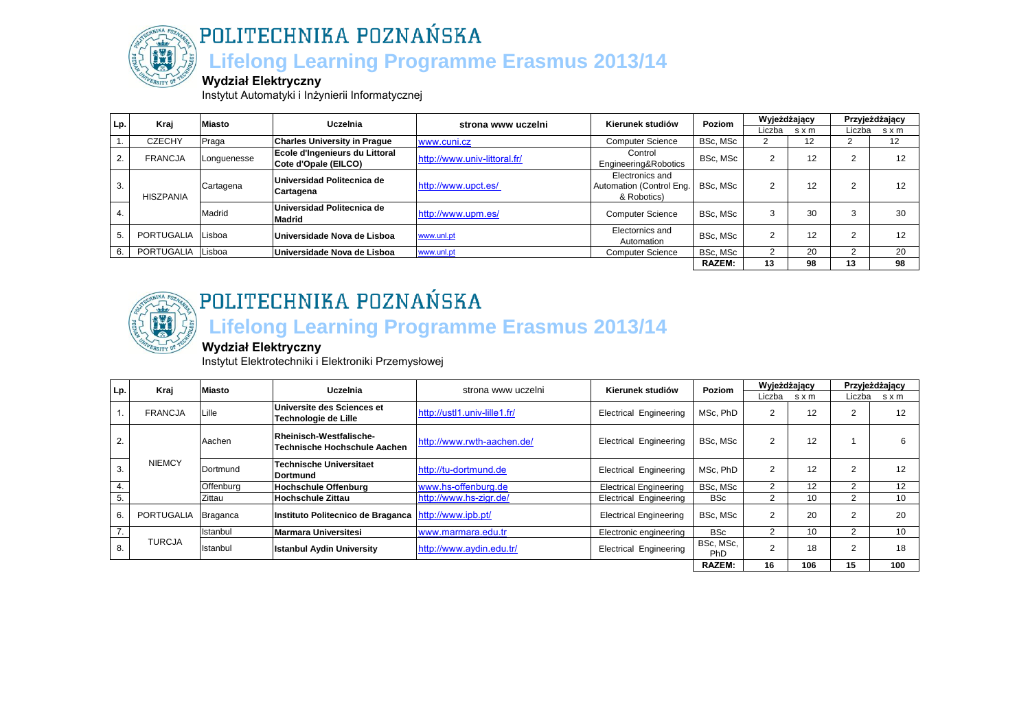

## POLITECHNIKA POZNAŃSKA  **Lifelong Learning Programme Erasmus 2013/14**

#### **Wydział Elektryczny**

Instytut Automatyki i Inżynierii Informatycznej

| Lp. | Kraj              | <b>Miasto</b> | Uczelnia                                               | strona www uczelni           | Kierunek studiów                                           | Poziom        | Wyjeżdżający |       |        | Przyjeżdżający |
|-----|-------------------|---------------|--------------------------------------------------------|------------------------------|------------------------------------------------------------|---------------|--------------|-------|--------|----------------|
|     |                   |               |                                                        |                              |                                                            |               | Liczba       | s x m | Liczba | s x m          |
|     | <b>CZECHY</b>     | Praga         | <b>Charles University in Prague</b>                    | www.cuni.cz                  | <b>Computer Science</b>                                    | BSc. MSc      |              | 12    |        | 12             |
|     | <b>FRANCJA</b>    | Longuenesse   | Ecole d'Ingenieurs du Littoral<br>Cote d'Opale (EILCO) | http://www.univ-littoral.fr/ | Control<br>Engineering&Robotics                            | BSc, MSc      |              | 12    |        | 12             |
| 3.  | <b>HISZPANIA</b>  | Cartagena     | Universidad Politecnica de<br>Cartagena                | http://www.upct.es/          | Electronics and<br>Automation (Control Eng.<br>& Robotics) | BSc. MSc      |              | 12    |        | 12             |
|     |                   | Madrid        | Universidad Politecnica de<br><b>Madrid</b>            | http://www.upm.es/           | <b>Computer Science</b>                                    | BSc. MSc      |              | 30    |        | 30             |
|     | <b>PORTUGALIA</b> | Lisboa        | Universidade Nova de Lisboa                            | www.unl.pt                   | Electornics and<br>Automation                              | BSc. MSc      | ◠            | 12    | ◠      | 12             |
|     | <b>PORTUGALIA</b> | Lisboa        | Universidade Nova de Lisboa                            | www.unl.pt                   | <b>Computer Science</b>                                    | BSc, MSc      |              | 20    |        | 20             |
|     |                   |               |                                                        |                              |                                                            | <b>RAZEM:</b> | 13           | 98    | 13     | 98             |



## POLITECHNIKA POZNAŃSKA  **Lifelong Learning Programme Erasmus 2013/14**

### **Wydział Elektryczny**

Instytut Elektrotechniki i Elektroniki Przemysłowej

| Lp. | Kraj           | <b>Miasto</b>   | Uczelnia                                                | strona www uczelni           | Kierunek studiów              | Poziom           | Wyjeżdżający   |       |                | Przyjeżdżający |
|-----|----------------|-----------------|---------------------------------------------------------|------------------------------|-------------------------------|------------------|----------------|-------|----------------|----------------|
|     |                |                 |                                                         |                              |                               |                  | Liczba         | s x m | Liczba         | s x m          |
|     | <b>FRANCJA</b> | ∟ille           | Universite des Sciences et<br>Technologie de Lille      | http://ustl1.univ-lille1.fr/ | <b>Electrical Engineering</b> | MSc, PhD         | 2              | 12    | $\overline{2}$ | 12             |
| 2.  |                | Aachen          | Rheinisch-Westfalische-<br>Technische Hochschule Aachen | http://www.rwth-aachen.de/   | <b>Electrical Engineering</b> | BSc, MSc         | 2              | 12    |                |                |
| 3.  | <b>NIEMCY</b>  | Dortmund        | <b>Technische Universitaet</b><br><b>IDortmund</b>      | http://tu-dortmund.de        | <b>Electrical Engineering</b> | MSc. PhD         | 2              | 12    | 2              | 12             |
| 4.  |                | Offenburg       | <b>Hochschule Offenburg</b>                             | www.hs-offenburg.de          | <b>Electrical Engineering</b> | BSc, MSc         | $\mathcal{P}$  | 12    |                | 12             |
| 5.  |                | Zittau          | <b>Hochschule Zittau</b>                                | http://www.hs-zigr.de/       | <b>Electrical Engineering</b> | <b>BSc</b>       | 2              | 10    |                | 10             |
| 6.  | PORTUGALIA     | <b>Braganca</b> | Instituto Politecnico de Braganca                       | http://www.ipb.pt/           | <b>Electrical Engineering</b> | BSc, MSc         | $\overline{2}$ | 20    | $\overline{2}$ | 20             |
| 7.  |                | Istanbul        | <b>Marmara Universitesi</b>                             | www.marmara.edu.tr           | Electronic engineering        | <b>BSc</b>       | $\mathcal{P}$  | 10    |                | 10             |
| 8.  | <b>TURCJA</b>  | Istanbul        | <b>Istanbul Aydin University</b>                        | http://www.aydin.edu.tr/     | <b>Electrical Engineering</b> | BSc, MSc,<br>PhD | $\sim$         | 18    | 2              | 18             |
|     |                |                 |                                                         |                              |                               | <b>RAZEM:</b>    | 16             | 106   | 15             | 100            |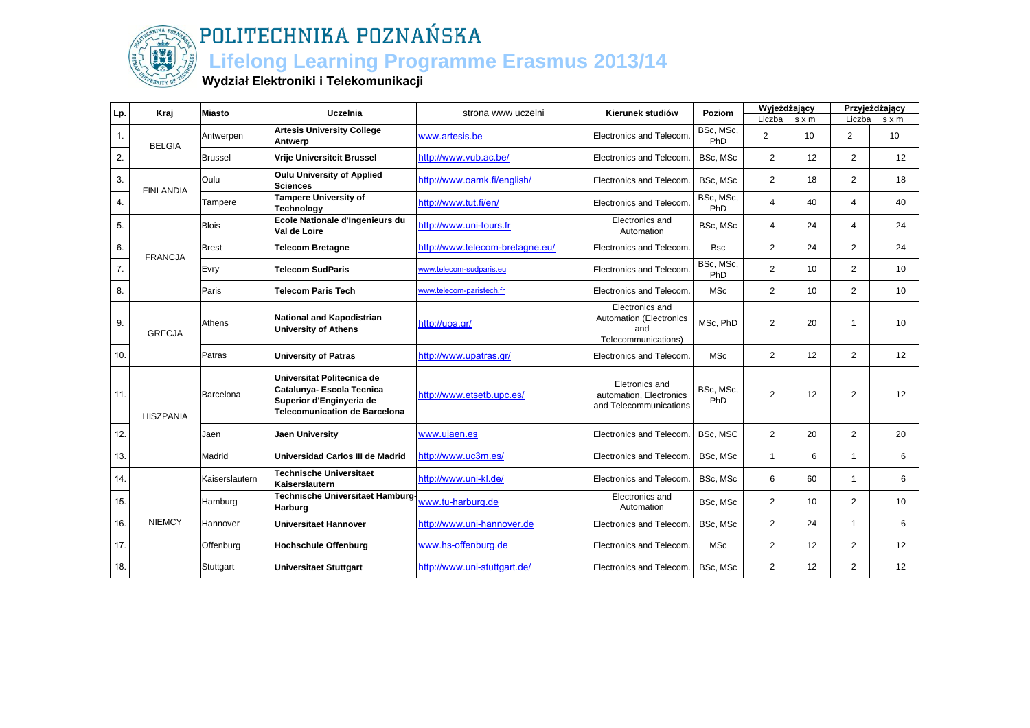

### **Lifelong Learning Programme Erasmus 2013/14**

#### **Wydział Elektroniki i Telekomunikacji**

| Lp.              | Kraj             | Miasto         | Uczelnia                                                                                                                    | strona www uczelni              | Kierunek studiów                                                                | Poziom           | Wyjeżdżający   |                 |                | Przyjeżdżający  |
|------------------|------------------|----------------|-----------------------------------------------------------------------------------------------------------------------------|---------------------------------|---------------------------------------------------------------------------------|------------------|----------------|-----------------|----------------|-----------------|
|                  |                  |                |                                                                                                                             |                                 |                                                                                 |                  | Liczba         | s x m           | Liczba         | $s \times m$    |
| $\mathbf{1}$ .   | <b>BELGIA</b>    | Antwerpen      | <b>Artesis University College</b><br>Antwerp                                                                                | www.artesis.be                  | <b>Electronics and Telecom</b>                                                  | BSc, MSc,<br>PhD | $\overline{2}$ | 10              | $\overline{2}$ | 10              |
| 2.               |                  | <b>Brussel</b> | <b>Vrije Universiteit Brussel</b>                                                                                           | http://www.vub.ac.be/           | Electronics and Telecom.                                                        | BSc, MSc         | $\overline{2}$ | 12              | 2              | 12              |
| 3.               | <b>FINLANDIA</b> | Oulu           | <b>Oulu University of Applied</b><br><b>Sciences</b>                                                                        | http://www.oamk.fi/english/     | Electronics and Telecom.                                                        | BSc, MSc         | $\overline{2}$ | 18              | 2              | 18              |
| 4.               |                  | Tampere        | <b>Tampere University of</b><br><b>Technology</b>                                                                           | http://www.tut.fi/en/           | Electronics and Telecom.                                                        | BSc, MSc,<br>PhD | $\overline{4}$ | 40              | $\overline{4}$ | 40              |
| 5.               |                  | <b>Blois</b>   | Ecole Nationale d'Ingenieurs du<br>Val de Loire                                                                             | http://www.uni-tours.fr         | Electronics and<br>Automation                                                   | BSc, MSc         | $\overline{4}$ | 24              | $\overline{a}$ | 24              |
| 6.               | <b>FRANCJA</b>   | <b>Brest</b>   | <b>Telecom Bretagne</b>                                                                                                     | http://www.telecom-bretagne.eu/ | Electronics and Telecom.                                                        | <b>Bsc</b>       | $\overline{2}$ | 24              | 2              | 24              |
| $\overline{7}$ . |                  | Evry           | <b>Telecom SudParis</b>                                                                                                     | www.telecom-sudparis.eu         | <b>Electronics and Telecom</b>                                                  | BSc, MSc,<br>PhD | $\overline{2}$ | 10              | $\overline{2}$ | 10              |
| 8.               |                  | Paris          | <b>Telecom Paris Tech</b>                                                                                                   | www.telecom-paristech.fr        | Electronics and Telecom.                                                        | <b>MSc</b>       | $\overline{2}$ | 10 <sup>1</sup> | 2              | 10              |
| 9.               | <b>GRECJA</b>    | Athens         | <b>National and Kapodistrian</b><br><b>University of Athens</b>                                                             | http://uoa.gr/                  | Electronics and<br><b>Automation (Electronics</b><br>and<br>Telecommunications) | MSc, PhD         | $\overline{2}$ | 20              | $\mathbf{1}$   | 10              |
| 10.              |                  | Patras         | <b>University of Patras</b>                                                                                                 | http://www.upatras.gr/          | Electronics and Telecom.                                                        | <b>MSc</b>       | $\overline{2}$ | 12              | 2              | 12              |
| 11.              | <b>HISZPANIA</b> | Barcelona      | Universitat Politecnica de<br>Catalunya- Escola Tecnica<br>Superior d'Enginyeria de<br><b>Telecomunication de Barcelona</b> | http://www.etsetb.upc.es/       | Eletronics and<br>automation, Electronics<br>and Telecommunications             | BSc, MSc,<br>PhD | $\overline{2}$ | 12              | $\overline{2}$ | 12              |
| 12.              |                  | Jaen           | Jaen University                                                                                                             | www.ujaen.es                    | <b>Electronics and Telecom</b>                                                  | BSc, MSC         | $\overline{2}$ | 20              | 2              | 20              |
| 13.              |                  | Madrid         | Universidad Carlos III de Madrid                                                                                            | http://www.uc3m.es/             | Electronics and Telecom.                                                        | BSc, MSc         | $\mathbf{1}$   | 6               | $\mathbf{1}$   | 6               |
| 14.              |                  | Kaiserslautern | <b>Technische Universitaet</b><br>Kaiserslautern                                                                            | http://www.uni-kl.de/           | Electronics and Telecom.                                                        | BSc, MSc         | 6              | 60              | $\mathbf{1}$   | 6               |
| 15.              |                  | Hamburg        | Technische Universitaet Hamburg-<br>Harburg                                                                                 | www.tu-harburg.de               | Electronics and<br>Automation                                                   | BSc, MSc         | $\overline{2}$ | 10 <sup>1</sup> | 2              | 10 <sup>1</sup> |
| 16.              | <b>NIEMCY</b>    | Hannover       | <b>Universitaet Hannover</b>                                                                                                | http://www.uni-hannover.de      | <b>Electronics and Telecom</b>                                                  | BSc, MSc         | $\mathbf{2}$   | 24              | $\mathbf{1}$   | 6               |
| 17.              |                  | Offenburg      | <b>Hochschule Offenburg</b>                                                                                                 | www.hs-offenburg.de             | Electronics and Telecom.                                                        | <b>MSc</b>       | $\overline{2}$ | 12              | 2              | 12              |
| 18.              |                  | Stuttgart      | <b>Universitaet Stuttgart</b>                                                                                               | http://www.uni-stuttgart.de/    | Electronics and Telecom.                                                        | BSc. MSc         | $\overline{2}$ | 12              | 2              | 12              |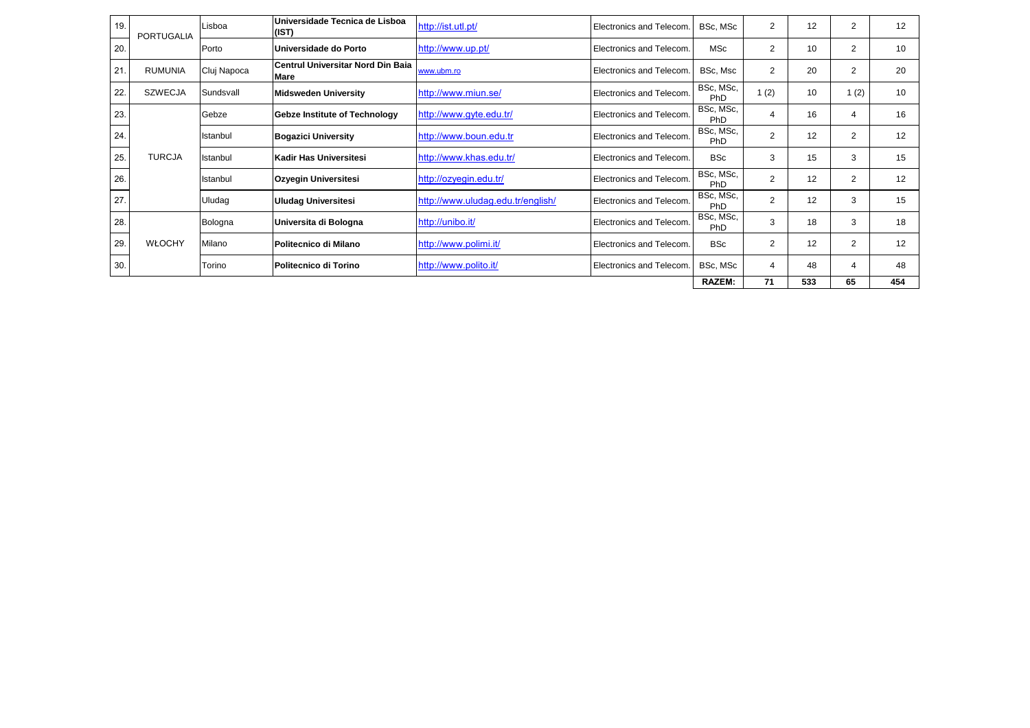| 19. | PORTUGALIA     | Lisboa      | Universidade Tecnica de Lisboa<br>(IST)                 | http://ist.utl.pt/                | Electronics and Telecom.        | BSc, MSc         | $\overline{2}$ | 12  | 2              | 12  |
|-----|----------------|-------------|---------------------------------------------------------|-----------------------------------|---------------------------------|------------------|----------------|-----|----------------|-----|
| 20. |                | Porto       | Universidade do Porto                                   | http://www.up.pt/                 | Electronics and Telecom.        | <b>MSc</b>       | 2              | 10  | $\overline{2}$ | 10  |
| 21  | <b>RUMUNIA</b> | Cluj Napoca | <b>Centrul Universitar Nord Din Baia</b><br><b>Mare</b> | www.ubm.ro                        | <b>Electronics and Telecom.</b> | BSc, Msc         | $\overline{2}$ | 20  | $\overline{2}$ | 20  |
| 22. | <b>SZWECJA</b> | Sundsvall   | <b>Midsweden University</b>                             | http://www.miun.se/               | Electronics and Telecom.        | BSc, MSc,<br>PhD | 1(2)           | 10  | 1(2)           | 10  |
| 23. |                | Gebze       | Gebze Institute of Technology                           | http://www.gyte.edu.tr/           | Electronics and Telecom.        | BSc, MSc,<br>PhD | 4              | 16  |                | 16  |
| 24. |                | Istanbul    | <b>Bogazici University</b>                              | http://www.boun.edu.tr            | Electronics and Telecom.        | BSc, MSc,<br>PhD | $\overline{2}$ | 12  | $\overline{2}$ | 12  |
| 25. | <b>TURCJA</b>  | Istanbul    | Kadir Has Universitesi                                  | http://www.khas.edu.tr/           | Electronics and Telecom.        | <b>BSc</b>       | 3              | 15  | 3              | 15  |
| 26. |                | Istanbul    | Ozyegin Universitesi                                    | http://ozyegin.edu.tr/            | Electronics and Telecom.        | BSc, MSc,<br>PhD | 2              | 12  | 2              | 12  |
| 27. |                | Uludag      | <b>Uludag Universitesi</b>                              | http://www.uludag.edu.tr/english/ | <b>Electronics and Telecom.</b> | BSc, MSc,<br>PhD | $\overline{2}$ | 12  | 3              | 15  |
| 28. |                | Bologna     | Universita di Bologna                                   | http://unibo.it/                  | Electronics and Telecom.        | BSc, MSc,<br>PhD | 3              | 18  | 3              | 18  |
| 29. | <b>WŁOCHY</b>  | Milano      | <b>Politecnico di Milano</b>                            | http://www.polimi.it/             | Electronics and Telecom.        | <b>BSc</b>       | $\overline{2}$ | 12  | 2              | 12  |
| 30. |                | Torino      | Politecnico di Torino                                   | http://www.polito.it/             | Electronics and Telecom.        | BSc, MSc         | 4              | 48  |                | 48  |
|     |                |             |                                                         |                                   |                                 | <b>RAZEM:</b>    | 71             | 533 | 65             | 454 |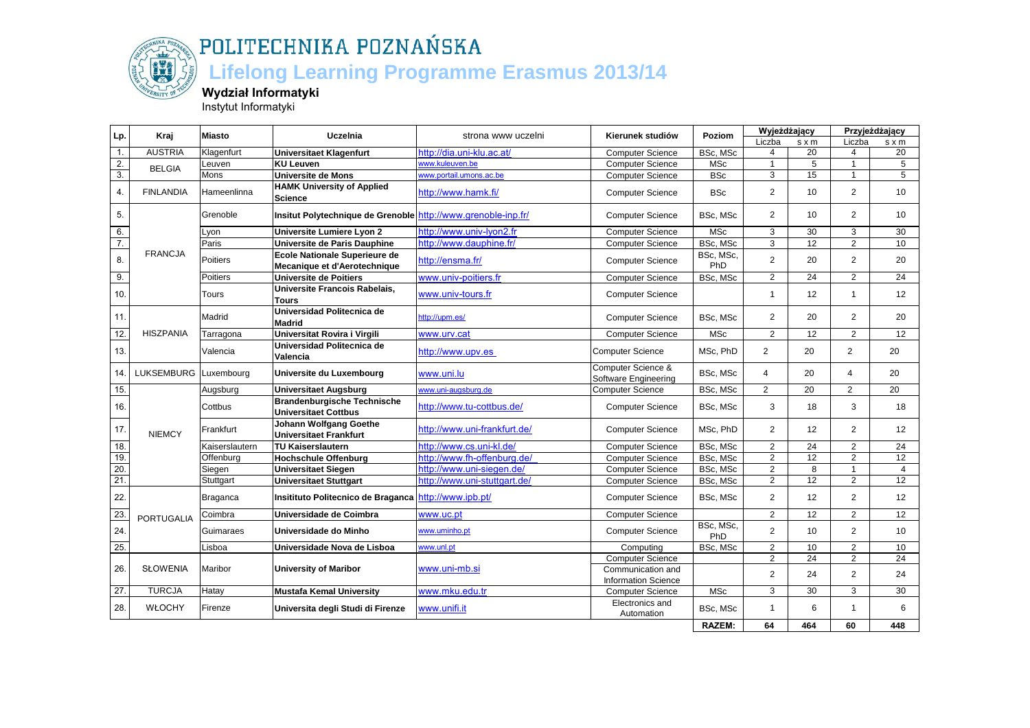

### **Lifelong Learning Programme Erasmus 2013/14**

**Wydział Informatyki**

Instytut Informatyki

| Lp.              | Kraj                  | <b>Miasto</b>   | <b>Uczelnia</b>                                                   | strona www uczelni           | Kierunek studiów                                | Poziom           | <b>Wyjeżdżający</b> |                 | Przyjeżdżający |                 |
|------------------|-----------------------|-----------------|-------------------------------------------------------------------|------------------------------|-------------------------------------------------|------------------|---------------------|-----------------|----------------|-----------------|
|                  |                       |                 |                                                                   |                              |                                                 |                  | Liczba              | $s \times m$    | Liczba         | s x m           |
| $\mathbf{1}$ .   | <b>AUSTRIA</b>        | Klagenfurt      | <b>Universitaet Klagenfurt</b>                                    | http://dia.uni-klu.ac.at/    | <b>Computer Science</b>                         | BSc, MSc         | 4                   | 20              | 4              | 20              |
| 2.               | <b>BELGIA</b>         | Leuven          | <b>KU Leuven</b>                                                  | www.kuleuven.be              | <b>Computer Science</b>                         | <b>MSc</b>       | $\mathbf{1}$        | $\overline{5}$  | $\overline{1}$ | 5               |
| $\overline{3}$ . |                       | Mons            | Universite de Mons                                                | www.portail.umons.ac.be      | <b>Computer Science</b>                         | <b>BSc</b>       | 3                   | 15              | $\overline{1}$ | 5               |
| 4.               | <b>FINLANDIA</b>      | Hameenlinna     | <b>HAMK University of Applied</b><br><b>Science</b>               | http://www.hamk.fi/          | <b>Computer Science</b>                         | <b>BSc</b>       | $\overline{2}$      | 10              | 2              | 10              |
| 5.               |                       | Grenoble        | Insitut Polytechnique de Grenoble http://www.grenoble-inp.fr/     |                              | <b>Computer Science</b>                         | BSc, MSc         | $\overline{2}$      | 10              | 2              | 10              |
| 6.               |                       | Lyon            | Universite Lumiere Lyon 2                                         | http://www.univ-lyon2.fr     | <b>Computer Science</b>                         | <b>MSc</b>       | 3                   | 30              | 3              | 30              |
| 7.               |                       | Paris           | Universite de Paris Dauphine                                      | http://www.dauphine.fr/      | <b>Computer Science</b>                         | BSc, MSc         | 3                   | $\overline{12}$ | 2              | 10              |
| 8.               | <b>FRANCJA</b>        | Poitiers        | Ecole Nationale Superieure de<br>Mecanique et d'Aerotechnique     | http://ensma.fr/             | <b>Computer Science</b>                         | BSc, MSc,<br>PhD | $\overline{2}$      | 20              | $\overline{2}$ | 20              |
| 9.               |                       | Poitiers        | <b>Universite de Poitiers</b>                                     | www.univ-poitiers.fr         | <b>Computer Science</b>                         | BSc, MSc         | $\overline{2}$      | 24              | $\overline{2}$ | $\overline{24}$ |
| 10.              |                       | Tours           | Universite Francois Rabelais,<br>Tours                            | www.univ-tours.fr            | <b>Computer Science</b>                         |                  | $\mathbf{1}$        | 12              | $\overline{1}$ | 12              |
| 11.              |                       | Madrid          | Universidad Politecnica de<br><b>Madrid</b>                       | http://upm.es/               | <b>Computer Science</b>                         | BSc, MSc         | $\mathbf{2}$        | 20              | 2              | 20              |
| 12.              | <b>HISZPANIA</b>      | Tarragona       | Universitat Rovira i Virgili                                      | www.urv.cat                  | <b>Computer Science</b>                         | <b>MSc</b>       | $\overline{2}$      | $\overline{12}$ | $\overline{2}$ | $\overline{12}$ |
| 13.              |                       | Valencia        | Universidad Politecnica de<br>Valencia                            | http://www.upv.es            | <b>Computer Science</b>                         | MSc, PhD         | $\overline{2}$      | 20              | $\overline{2}$ | 20              |
| 14.              | LUKSEMBURG Luxembourg |                 | Universite du Luxembourg                                          | www.uni.lu                   | Computer Science &<br>Software Engineering      | BSc, MSc         | $\overline{4}$      | 20              | $\overline{4}$ | 20              |
| 15.              |                       | Augsburg        | <b>Universitaet Augsburg</b>                                      | www.uni-augsburg.de          | <b>Computer Science</b>                         | BSc, MSc         | 2                   | 20              | 2              | 20              |
| 16.              |                       | Cottbus         | <b>Brandenburgische Technische</b><br><b>Universitaet Cottbus</b> | http://www.tu-cottbus.de/    | <b>Computer Science</b>                         | BSc, MSc         | 3                   | 18              | 3              | 18              |
| 17.              | <b>NIEMCY</b>         | Frankfurt       | <b>Johann Wolfgang Goethe</b><br><b>Universitaet Frankfurt</b>    | http://www.uni-frankfurt.de/ | <b>Computer Science</b>                         | MSc, PhD         | 2                   | 12              | 2              | 12              |
| 18.              |                       | Kaiserslautern  | <b>TU Kaiserslautern</b>                                          | http://www.cs.uni-kl.de/     | <b>Computer Science</b>                         | BSc, MSc         | $\overline{2}$      | 24              | $\overline{2}$ | 24              |
| 19.              |                       | Offenburg       | <b>Hochschule Offenburg</b>                                       | http://www.fh-offenburg.de/  | <b>Computer Science</b>                         | BSc, MSc         | $\overline{2}$      | $\overline{12}$ | 2              | 12              |
| 20.              |                       | Siegen          | <b>Universitaet Siegen</b>                                        | http://www.uni-siegen.de/    | <b>Computer Science</b>                         | BSc, MSc         | $\overline{2}$      | $\overline{8}$  | $\overline{1}$ | $\overline{4}$  |
| 21.              |                       | Stuttgart       | <b>Universitaet Stuttgart</b>                                     | http://www.uni-stuttgart.de/ | <b>Computer Science</b>                         | BSc, MSc         | $\overline{2}$      | 12              | 2              | 12              |
| 22.              |                       | <b>Braganca</b> | Insitituto Politecnico de Braganca http://www.ipb.pt/             |                              | <b>Computer Science</b>                         | BSc, MSc         | $\overline{2}$      | 12              | 2              | 12              |
| 23.              | <b>PORTUGALIA</b>     | Coimbra         | Universidade de Coimbra                                           | www.uc.pt                    | <b>Computer Science</b>                         |                  | $\overline{2}$      | 12              | 2              | 12              |
| 24.              |                       | Guimaraes       | Universidade do Minho                                             | www.uminho.pt                | <b>Computer Science</b>                         | BSc, MSc,<br>PhD | $\overline{2}$      | 10              | 2              | 10              |
| 25.              |                       | Lisboa          | Universidade Nova de Lisboa                                       | www.unl.pt                   | Computing                                       | BSc, MSc         | $\overline{2}$      | 10              | 2              | 10              |
|                  |                       |                 |                                                                   |                              | <b>Computer Science</b>                         |                  | $\overline{2}$      | $\overline{24}$ | 2              | $\overline{24}$ |
| 26.              | <b>SŁOWENIA</b>       | Maribor         | <b>University of Maribor</b>                                      | www.uni-mb.si                | Communication and<br><b>Information Science</b> |                  | $\overline{2}$      | 24              | 2              | 24              |
| 27.              | <b>TURCJA</b>         | Hatay           | <b>Mustafa Kemal University</b>                                   | www.mku.edu.tr               | <b>Computer Science</b>                         | <b>MSc</b>       | 3                   | $\overline{30}$ | 3              | 30              |
| 28.              | WŁOCHY                | Firenze         | Universita degli Studi di Firenze                                 | www.unifi.it                 | Electronics and<br>Automation                   | BSc, MSc         | $\mathbf{1}$        | 6               | $\overline{1}$ | 6               |
|                  |                       |                 |                                                                   |                              |                                                 | RAZEM:           | 64                  | 464             | 60             | 448             |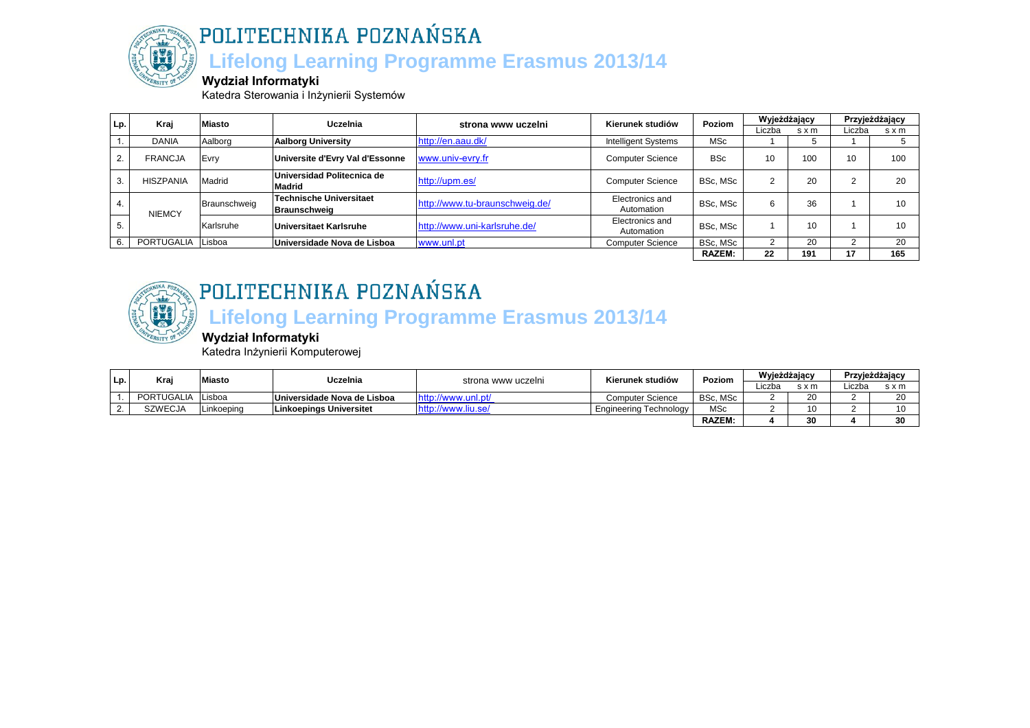

POLITECHNIKA POZNAŃSKA  **Lifelong Learning Programme Erasmus 2013/14**

#### **Wydział Informatyki**

Katedra Sterowania i Inżynierii Systemów

| Lp. | Kraj             | <b>Miasto</b> | Uczelnia                                    | strona www uczelni             | Kierunek studiów              | Poziom        | Wyjeżdżający |       | Przyjeżdżający |     |
|-----|------------------|---------------|---------------------------------------------|--------------------------------|-------------------------------|---------------|--------------|-------|----------------|-----|
|     |                  |               |                                             |                                |                               |               | Liczba       | s x m | Liczba         | sxm |
|     | <b>DANIA</b>     | Aalborg       | <b>Aalborg University</b>                   | http://en.aau.dk/              | <b>Intelligent Systems</b>    | <b>MSc</b>    |              |       |                |     |
|     | <b>FRANCJA</b>   | Evry          | Universite d'Evry Val d'Essonne             | www.univ-evry.fr               | <b>Computer Science</b>       | <b>BSc</b>    | 10           | 100   | 10             | 100 |
|     | <b>HISZPANIA</b> | Madrid        | Universidad Politecnica de<br><b>Madrid</b> | http://upm.es/                 | <b>Computer Science</b>       | BSc. MSc      |              | 20    | ົ              | 20  |
| 4.  | <b>NIEMCY</b>    | Braunschweig  | Technische Universitaet<br>Braunschweig     | http://www.tu-braunschweig.de/ | Electronics and<br>Automation | BSc. MSc      |              | 36    |                | 10  |
| b.  |                  | Karlsruhe     | Universitaet Karlsruhe                      | http://www.uni-karlsruhe.de/   | Electronics and<br>Automation | BSc. MSc      |              | 10    |                | 10  |
|     | PORTUGALIA       | Lisboa        | Universidade Nova de Lisboa                 | www.unl.pt                     | <b>Computer Science</b>       | BSc. MSc      |              | 20    |                | 20  |
|     |                  |               |                                             |                                |                               | <b>RAZEM:</b> | 22           | 191   |                | 165 |



## POLITECHNIKA POZNAŃSKA

## **Lifelong Learning Programme Erasmus 2013/14**

#### **Wydział Informatyki**

Katedra Inżynierii Komputerowej

| Lp.      | <b>Kra</b> | <b>liasto</b> | Uczelnia                    | strona www uczelni                 | Kierunek studiów        |              | Poziom | Wyjeżdżający |        | Przyjeżdżający |  |
|----------|------------|---------------|-----------------------------|------------------------------------|-------------------------|--------------|--------|--------------|--------|----------------|--|
|          |            |               |                             |                                    |                         |              | .iczba | s x m        | Liczba | s x m          |  |
|          | PORTUGALIA | Lisboa        | Universidade Nova de Lisboa | http://www.unl.pt/                 | <b>Computer Science</b> | BSc. MSc     |        | ۷J           |        | 20             |  |
| <u>.</u> | SZWECJA    | Linkoeping    | lLinkoepinas Universitet    | <i>://</i> www.liu.se <sup>*</sup> | Engineering Technology  | <b>MSc</b>   |        | 10           |        |                |  |
|          |            |               |                             |                                    |                         | <b>RAZEM</b> |        | 30           |        | 30             |  |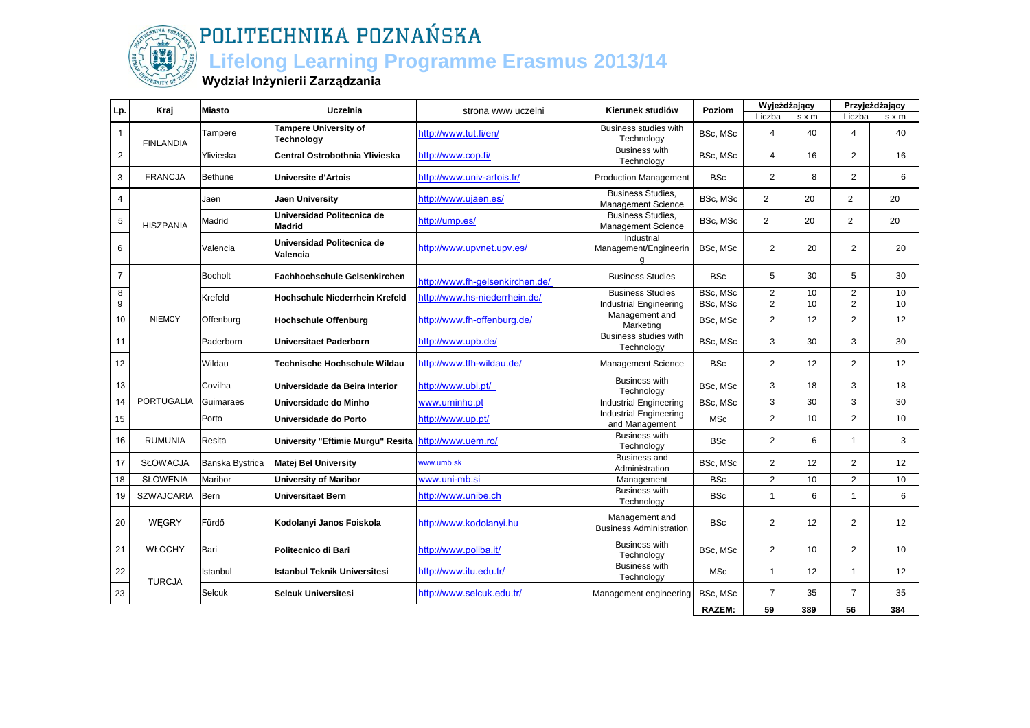

### **Lifelong Learning Programme Erasmus 2013/14**

#### **Wydział Inżynierii Zarządzania**

| Lp.              | Kraj              | <b>Miasto</b>   | Uczelnia                                    | strona www uczelni              | Kierunek studiów                                      | Poziom        | Wyjeżdżający   |                 |                | Przyjeżdżający |
|------------------|-------------------|-----------------|---------------------------------------------|---------------------------------|-------------------------------------------------------|---------------|----------------|-----------------|----------------|----------------|
|                  |                   |                 | <b>Tampere University of</b>                |                                 | <b>Business studies with</b>                          |               | Liczba         | $s \times m$    | Liczba         | $s \times m$   |
| $\mathbf{1}$     | <b>FINLANDIA</b>  | Tampere         | Technology                                  | http://www.tut.fi/en/           | Technology                                            | BSc, MSc      | $\overline{4}$ | 40              | $\overline{4}$ | 40             |
| $\boldsymbol{2}$ |                   | Ylivieska       | Central Ostrobothnia Ylivieska              | http://www.cop.fi/              | Business with<br>Technology                           | BSc, MSc      | $\overline{4}$ | 16              | 2              | 16             |
| $\mathsf 3$      | <b>FRANCJA</b>    | Bethune         | <b>Universite d'Artois</b>                  | http://www.univ-artois.fr/      | <b>Production Management</b>                          | <b>BSc</b>    | 2              | 8               | $\overline{2}$ | 6              |
| $\overline{4}$   |                   | Jaen            | <b>Jaen University</b>                      | http://www.ujaen.es/            | <b>Business Studies,</b><br><b>Management Science</b> | BSc, MSc      | $\overline{2}$ | 20              | $\overline{2}$ | 20             |
| $\sqrt{5}$       | <b>HISZPANIA</b>  | Madrid          | Universidad Politecnica de<br><b>Madrid</b> | http://ump.es/                  | <b>Business Studies,</b><br><b>Management Science</b> | BSc, MSc      | $\overline{2}$ | 20              | $\overline{2}$ | 20             |
| 6                |                   | Valencia        | Universidad Politecnica de<br>Valencia      | http://www.upynet.upy.es/       | Industrial<br>Management/Engineerin<br>a              | BSc. MSc      | 2              | 20              | 2              | 20             |
| $\overline{7}$   |                   | <b>Bocholt</b>  | <b>Fachhochschule Gelsenkirchen</b>         | http://www.fh-gelsenkirchen.de/ | <b>Business Studies</b>                               | <b>BSc</b>    | 5              | 30              | 5              | 30             |
| $\infty$         |                   | Krefeld         | Hochschule Niederrhein Krefeld              | http://www.hs-niederrhein.de/   | <b>Business Studies</b>                               | BSc, MSc      | $\overline{2}$ | 10              | 2              | 10             |
| $\overline{9}$   |                   |                 |                                             |                                 | <b>Industrial Engineering</b>                         | BSc, MSc      | $\overline{2}$ | 10              | $\overline{2}$ | 10             |
| $10$             | <b>NIEMCY</b>     | Offenburg       | <b>Hochschule Offenburg</b>                 | http://www.fh-offenburg.de/     | Management and<br>Marketing                           | BSc, MSc      | $\overline{2}$ | 12              | 2              | 12             |
| 11               |                   | Paderborn       | <b>Universitaet Paderborn</b>               | http://www.upb.de/              | Business studies with<br>Technology                   | BSc, MSc      | 3              | 30              | 3              | 30             |
| 12               |                   | Wildau          | Technische Hochschule Wildau                | http://www.tfh-wildau.de/       | <b>Management Science</b>                             | <b>BSc</b>    | $\overline{2}$ | 12              | 2              | 12             |
| 13               |                   | Covilha         | Universidade da Beira Interior              | http://www.ubi.pt/              | <b>Business with</b><br>Technology                    | BSc, MSc      | 3              | 18              | 3              | 18             |
| 14               | <b>PORTUGALIA</b> | Guimaraes       | Universidade do Minho                       | www.uminho.pt                   | <b>Industrial Engineering</b>                         | BSc, MSc      | 3              | 30              | 3              | 30             |
| 15               |                   | Porto           | Universidade do Porto                       | http://www.up.pt/               | <b>Industrial Engineering</b><br>and Management       | <b>MSc</b>    | $\overline{2}$ | 10 <sup>°</sup> | $\overline{2}$ | 10             |
| 16               | <b>RUMUNIA</b>    | Resita          | University "Eftimie Murgu" Resita           | http://www.uem.ro/              | <b>Business with</b><br>Technology                    | <b>BSc</b>    | $\overline{2}$ | 6               | $\mathbf{1}$   | 3              |
| 17               | SŁOWACJA          | Banska Bystrica | <b>Matej Bel University</b>                 | www.umb.sk                      | <b>Business and</b><br>Administration                 | BSc, MSc      | $\overline{2}$ | 12              | 2              | 12             |
| 18               | <b>SŁOWENIA</b>   | Maribor         | <b>University of Maribor</b>                | www.uni-mb.si                   | Management                                            | <b>BSc</b>    | 2              | 10              | 2              | 10             |
| 19               | <b>SZWAJCARIA</b> | <b>Bern</b>     | <b>Universitaet Bern</b>                    | http://www.unibe.ch             | <b>Business with</b><br>Technology                    | <b>BSc</b>    | $\mathbf{1}$   | 6               | $\mathbf{1}$   | 6              |
| 20               | WEGRY             | Fürdő           | Kodolanyi Janos Foiskola                    | http://www.kodolanyi.hu         | Management and<br><b>Business Administration</b>      | <b>BSc</b>    | $\overline{2}$ | 12 <sup>2</sup> | 2              | 12             |
| 21               | <b>WŁOCHY</b>     | Bari            | Politecnico di Bari                         | http://www.poliba.it/           | <b>Business with</b><br>Technology                    | BSc, MSc      | 2              | 10              | 2              | 10             |
| 22               | <b>TURCJA</b>     | Istanbul        | <b>Istanbul Teknik Universitesi</b>         | http://www.itu.edu.tr/          | <b>Business with</b><br>Technology                    | <b>MSc</b>    | $\mathbf{1}$   | 12              | $\mathbf{1}$   | 12             |
| 23               |                   | Selcuk          | <b>Selcuk Universitesi</b>                  | http://www.selcuk.edu.tr/       | Management engineering                                | BSc, MSc      | $\overline{7}$ | 35              | $\overline{7}$ | 35             |
|                  |                   |                 |                                             |                                 |                                                       | <b>RAZEM:</b> | 59             | 389             | 56             | 384            |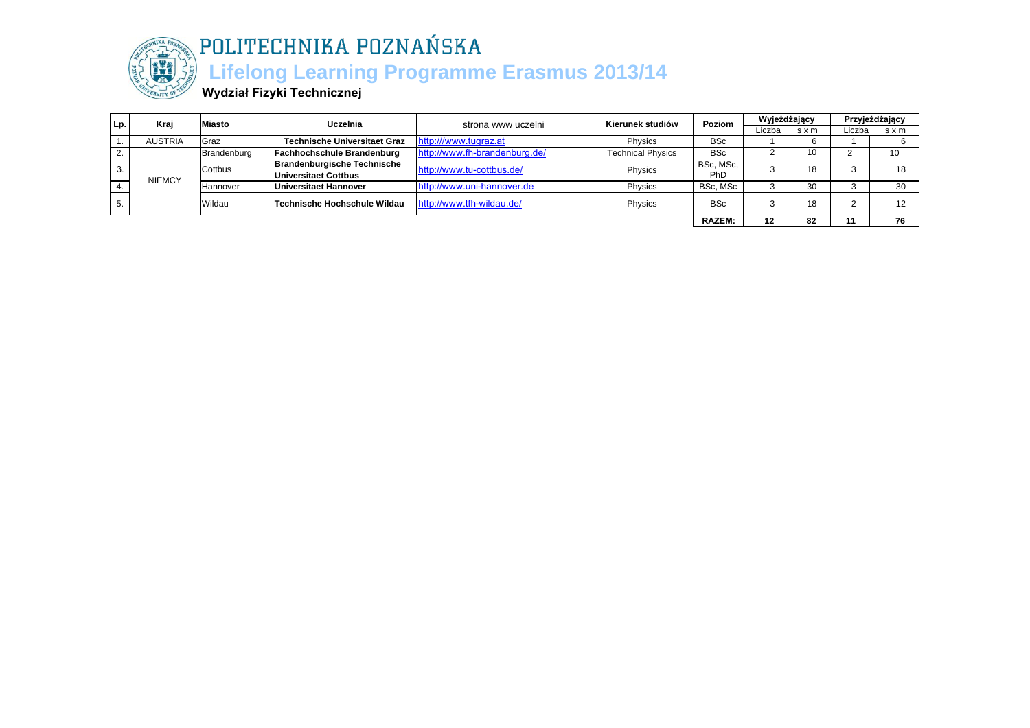

## $\lambda$ POLITECHNIKA POZNAŃSKA

### **Lifelong Learning Programme Erasmus 2013/14**

**Wydział Fizyki Technicznej**

| Lp. | Kraj           | Miasto      | Uczelnia                            | strona www uczelni            | Kierunek studiów         | Poziom        | Wyjeżdżający |       | Przyjeżdżający |     |
|-----|----------------|-------------|-------------------------------------|-------------------------------|--------------------------|---------------|--------------|-------|----------------|-----|
|     |                |             |                                     |                               |                          |               | Liczba       | s x m | ∟iczba         | sxm |
|     | <b>AUSTRIA</b> | Graz        | <b>Technische Universitaet Graz</b> | http:///www.tugraz.at         | Physics                  | <b>BSc</b>    |              |       |                |     |
|     |                | Brandenburg | <b>Fachhochschule Brandenburg</b>   | http://www.fh-brandenburg.de/ | <b>Technical Physics</b> | <b>BSc</b>    |              | 10    |                | 10  |
|     |                | Cottbus     | <b>Brandenburgische Technische</b>  | http://www.tu-cottbus.de/     | Physics                  | BSc, MSc,     |              | 18    |                | 18  |
|     | <b>NIEMCY</b>  |             | Universitaet Cottbus                |                               |                          | <b>PhD</b>    |              |       |                |     |
|     |                | Hannover    | Universitaet Hannover               | http://www.uni-hannover.de    | Physics                  | BSc, MSc      |              | 30    |                | 30  |
|     |                | Wildau      | Technische Hochschule Wildau        | http://www.tfh-wildau.de/     | Physics                  | <b>BSc</b>    |              | 18    |                | 12  |
|     | o.             |             |                                     |                               |                          |               |              |       |                |     |
|     |                |             |                                     |                               |                          | <b>RAZEM:</b> | 12           | 82    |                | 76  |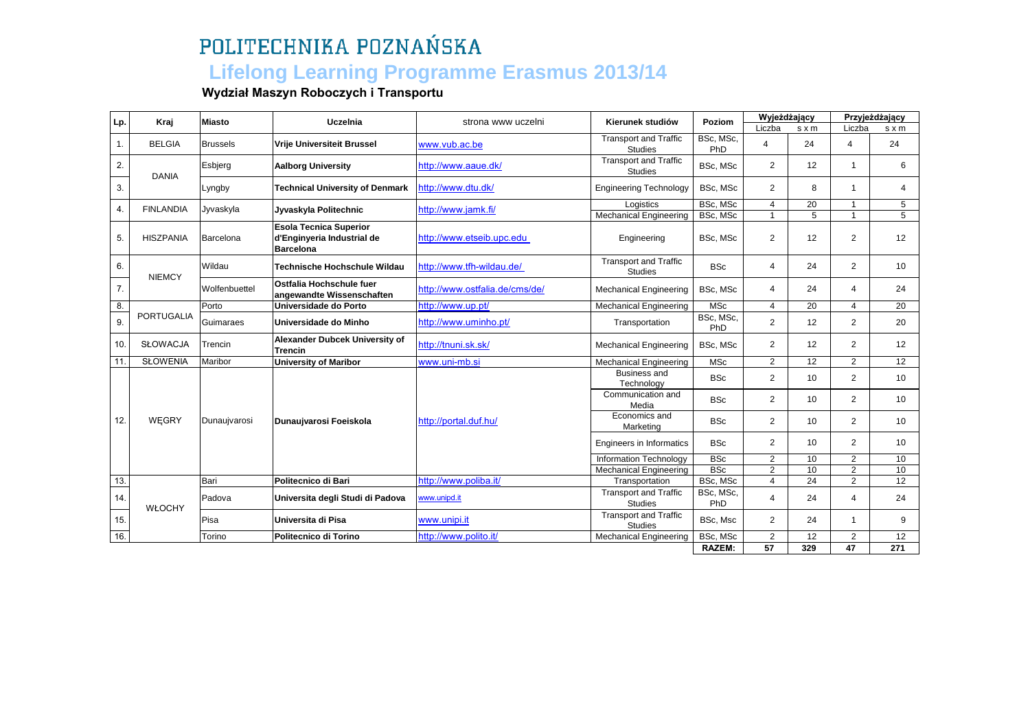### **Lifelong Learning Programme Erasmus 2013/14**

#### **Wydział Maszyn Roboczych i Transportu**

| Lp. | Kraj              | <b>Miasto</b>   | Uczelnia                                                                        | strona www uczelni             | Kierunek studiów                               | Poziom               | Wyjeżdżający                     |                      | Przyjeżdżający    |                 |
|-----|-------------------|-----------------|---------------------------------------------------------------------------------|--------------------------------|------------------------------------------------|----------------------|----------------------------------|----------------------|-------------------|-----------------|
|     |                   |                 |                                                                                 |                                |                                                |                      | Liczba                           | s x m                | Liczba            | $s \times m$    |
| 1.  | <b>BELGIA</b>     | <b>Brussels</b> | <b>Vrije Universiteit Brussel</b>                                               | www.vub.ac.be                  | <b>Transport and Traffic</b><br><b>Studies</b> | BSc, MSc,<br>PhD     | $\overline{4}$                   | 24                   | $\overline{4}$    | 24              |
| 2.  | <b>DANIA</b>      | Esbjerg         | <b>Aalborg University</b>                                                       | http://www.aaue.dk/            | <b>Transport and Traffic</b><br><b>Studies</b> | BSc, MSc             | $\overline{2}$                   | 12                   | $\mathbf{1}$      | 6               |
| 3.  |                   | Lyngby          | <b>Technical University of Denmark</b>                                          | http://www.dtu.dk/             | <b>Engineering Technology</b>                  | BSc, MSc             | 2                                | 8                    | 1                 | 4               |
| 4.  | <b>FINLANDIA</b>  | Jyvaskyla       | Jyvaskyla Politechnic                                                           | http://www.jamk.fi/            | Logistics<br><b>Mechanical Engineering</b>     | BSc, MSc<br>BSc, MSc | $\overline{4}$<br>$\overline{1}$ | $\overline{20}$<br>5 | $\mathbf{1}$<br>1 | 5<br>5          |
| 5.  | <b>HISZPANIA</b>  | Barcelona       | <b>Esola Tecnica Superior</b><br>d'Enginyeria Industrial de<br><b>Barcelona</b> | http://www.etseib.upc.edu      | Engineering                                    | BSc, MSc             | $\overline{2}$                   | 12                   | $\overline{2}$    | 12              |
| 6.  | <b>NIEMCY</b>     | Wildau          | Technische Hochschule Wildau                                                    | http://www.tfh-wildau.de/      | <b>Transport and Traffic</b><br><b>Studies</b> | <b>BSc</b>           | 4                                | 24                   | 2                 | 10              |
| 7.  |                   | Wolfenbuettel   | Ostfalia Hochschule fuer<br>angewandte Wissenschaften                           | http://www.ostfalia.de/cms/de/ | <b>Mechanical Engineering</b>                  | BSc. MSc             | 4                                | 24                   | $\overline{4}$    | 24              |
| 8.  |                   | Porto           | Universidade do Porto                                                           | http://www.up.pt/              | <b>Mechanical Engineering</b>                  | <b>MSc</b>           | 4                                | 20                   | 4                 | 20              |
| 9.  | <b>PORTUGALIA</b> | Guimaraes       | Universidade do Minho                                                           | http://www.uminho.pt/          | Transportation                                 | BSc, MSc,<br>PhD     | $\overline{2}$                   | 12                   | 2                 | 20              |
| 10. | SŁOWACJA          | Trencin         | Alexander Dubcek University of<br><b>Trencin</b>                                | http://tnuni.sk.sk/            | <b>Mechanical Engineering</b>                  | BSc, MSc             | $\overline{2}$                   | 12                   | 2                 | 12              |
| 11. | <b>SŁOWENIA</b>   | Maribor         | <b>University of Maribor</b>                                                    | www.uni-mb.si                  | <b>Mechanical Engineering</b>                  | <b>MSc</b>           | $\overline{2}$                   | 12                   | 2                 | 12              |
|     |                   |                 |                                                                                 |                                | <b>Business and</b><br>Technology              | <b>BSc</b>           | $\overline{2}$                   | 10                   | 2                 | 10              |
|     |                   |                 |                                                                                 |                                | Communication and<br>Media                     | <b>BSc</b>           | $\overline{2}$                   | 10                   | 2                 | 10              |
| 12. | WEGRY             | Dunaujvarosi    | Dunaujvarosi Foeiskola                                                          | http://portal.duf.hu/          | Economics and<br>Marketing                     | <b>BSc</b>           | $\overline{2}$                   | 10                   | 2                 | 10              |
|     |                   |                 |                                                                                 |                                | <b>Engineers in Informatics</b>                | <b>BSc</b>           | $\overline{2}$                   | 10                   | 2                 | 10              |
|     |                   |                 |                                                                                 |                                | Information Technology                         | <b>BSc</b>           | $\overline{2}$                   | 10                   | $\overline{2}$    | 10              |
|     |                   |                 |                                                                                 |                                | <b>Mechanical Engineering</b>                  | <b>BSc</b>           | $\overline{2}$                   | 10                   | $\overline{2}$    | 10              |
| 13. |                   | Bari            | Politecnico di Bari                                                             | http://www.poliba.it/          | Transportation                                 | BSc, MSc             | $\overline{4}$                   | 24                   | 2                 | $\overline{12}$ |
| 14. | <b>WŁOCHY</b>     | Padova          | Universita degli Studi di Padova                                                | www.unipd.it                   | <b>Transport and Traffic</b><br><b>Studies</b> | BSc, MSc,<br>PhD     | $\overline{4}$                   | 24                   | 4                 | 24              |
| 15. |                   | Pisa            | Universita di Pisa                                                              | www.unipi.it                   | <b>Transport and Traffic</b><br><b>Studies</b> | BSc, Msc             | $\overline{2}$                   | 24                   | 1                 | 9               |
| 16. |                   | Torino          | Politecnico di Torino                                                           | http://www.polito.it/          | <b>Mechanical Engineering</b>                  | BSc, MSc             | $\overline{2}$                   | 12                   | 2                 | 12              |
|     |                   |                 |                                                                                 |                                |                                                | RAZEM:               | 57                               | 329                  | 47                | 271             |